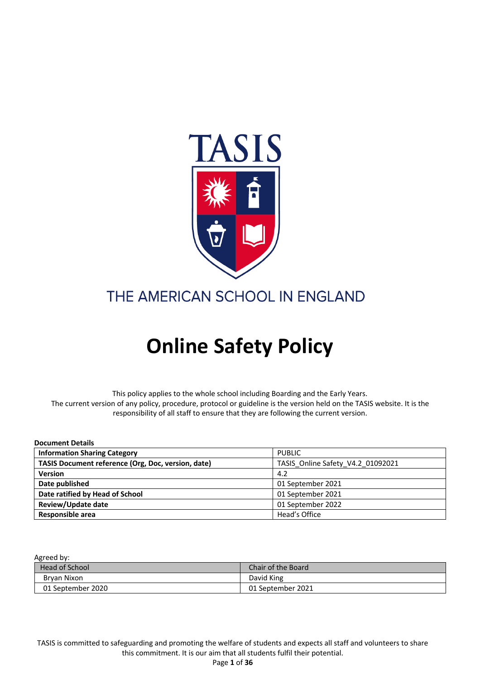

### THE AMERICAN SCHOOL IN ENGLAND

# **Online Safety Policy**

This policy applies to the whole school including Boarding and the Early Years. The current version of any policy, procedure, protocol or guideline is the version held on the TASIS website. It is the responsibility of all staff to ensure that they are following the current version.

| <b>Document Details</b>                            |                                   |
|----------------------------------------------------|-----------------------------------|
| <b>Information Sharing Category</b>                | <b>PUBLIC</b>                     |
| TASIS Document reference (Org, Doc, version, date) | TASIS Online Safety V4.2 01092021 |
| <b>Version</b>                                     | 4.2                               |
| Date published                                     | 01 September 2021                 |
| Date ratified by Head of School                    | 01 September 2021                 |
| Review/Update date                                 | 01 September 2022                 |
| Responsible area                                   | Head's Office                     |

#### Agreed by:

| <b>Head of School</b> | Chair of the Board |
|-----------------------|--------------------|
| Brvan Nixon           | David King         |
| 01 September 2020     | 01 September 2021  |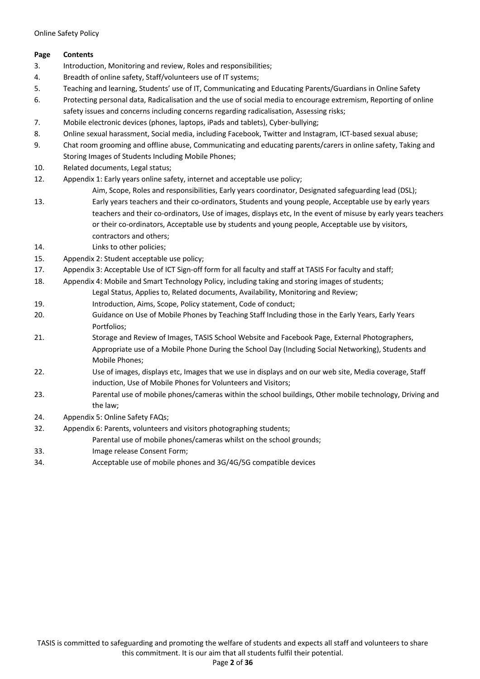#### **Page Contents**

- 3. Introduction, Monitoring and review, Roles and responsibilities;
- 4. Breadth of online safety, Staff/volunteers use of IT systems;
- 5. Teaching and learning, Students' use of IT, Communicating and Educating Parents/Guardians in Online Safety
- 6. Protecting personal data, Radicalisation and the use of social media to encourage extremism, Reporting of online safety issues and concerns including concerns regarding radicalisation, Assessing risks;
- 7. Mobile electronic devices (phones, laptops, iPads and tablets), Cyber-bullying;
- 8. Online sexual harassment, Social media, including Facebook, Twitter and Instagram, ICT-based sexual abuse;
- 9. Chat room grooming and offline abuse, Communicating and educating parents/carers in online safety, Taking and Storing Images of Students Including Mobile Phones;
- 10. Related documents, Legal status;
- 12. Appendix 1: Early years online safety, internet and acceptable use policy;
- Aim, Scope, Roles and responsibilities, Early years coordinator, Designated safeguarding lead (DSL); 13. Early years teachers and their co-ordinators, Students and young people, Acceptable use by early years
- teachers and their co-ordinators, Use of images, displays etc, In the event of misuse by early years teachers or their co-ordinators, Acceptable use by students and young people, Acceptable use by visitors, contractors and others;
- 14. Links to other policies;
- 15. Appendix 2: Student acceptable use policy;
- 17. Appendix 3: Acceptable Use of ICT Sign-off form for all faculty and staff at TASIS For faculty and staff;
- 18. Appendix 4: Mobile and Smart Technology Policy, including taking and storing images of students; Legal Status, Applies to, Related documents, Availability, Monitoring and Review;
- 19. Introduction, Aims, Scope, Policy statement, Code of conduct;
- 20. Guidance on Use of Mobile Phones by Teaching Staff Including those in the Early Years, Early Years Portfolios;
- 21. Storage and Review of Images, TASIS School Website and Facebook Page, External Photographers, Appropriate use of a Mobile Phone During the School Day (Including Social Networking), Students and Mobile Phones;
- 22. Use of images, displays etc, Images that we use in displays and on our web site, Media coverage, Staff induction, Use of Mobile Phones for Volunteers and Visitors;
- 23. Parental use of mobile phones/cameras within the school buildings, Other mobile technology, Driving and the law;
- 24. Appendix 5: Online Safety FAQs;
- 32. Appendix 6: Parents, volunteers and visitors photographing students;
	- Parental use of mobile phones/cameras whilst on the school grounds;
- 33. Image release Consent Form;
- 34. Acceptable use of mobile phones and 3G/4G/5G compatible devices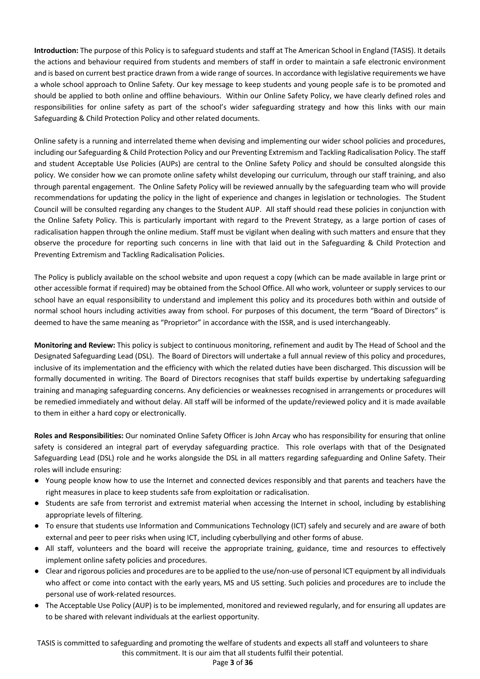**Introduction:** The purpose of this Policy is to safeguard students and staff at The American School in England (TASIS). It details the actions and behaviour required from students and members of staff in order to maintain a safe electronic environment and is based on current best practice drawn from a wide range of sources. In accordance with legislative requirements we have a whole school approach to Online Safety. Our key message to keep students and young people safe is to be promoted and should be applied to both online and offline behaviours. Within our Online Safety Policy, we have clearly defined roles and responsibilities for online safety as part of the school's wider safeguarding strategy and how this links with our main Safeguarding & Child Protection Policy and other related documents.

Online safety is a running and interrelated theme when devising and implementing our wider school policies and procedures, including our Safeguarding & Child Protection Policy and our Preventing Extremism and Tackling Radicalisation Policy. The staff and student Acceptable Use Policies (AUPs) are central to the Online Safety Policy and should be consulted alongside this policy. We consider how we can promote online safety whilst developing our curriculum, through our staff training, and also through parental engagement. The Online Safety Policy will be reviewed annually by the safeguarding team who will provide recommendations for updating the policy in the light of experience and changes in legislation or technologies. The Student Council will be consulted regarding any changes to the Student AUP. All staff should read these policies in conjunction with the Online Safety Policy. This is particularly important with regard to the Prevent Strategy, as a large portion of cases of radicalisation happen through the online medium. Staff must be vigilant when dealing with such matters and ensure that they observe the procedure for reporting such concerns in line with that laid out in the Safeguarding & Child Protection and Preventing Extremism and Tackling Radicalisation Policies.

The Policy is publicly available on the school website and upon request a copy (which can be made available in large print or other accessible format if required) may be obtained from the School Office. All who work, volunteer or supply services to our school have an equal responsibility to understand and implement this policy and its procedures both within and outside of normal school hours including activities away from school. For purposes of this document, the term "Board of Directors" is deemed to have the same meaning as "Proprietor" in accordance with the ISSR, and is used interchangeably.

**Monitoring and Review:** This policy is subject to continuous monitoring, refinement and audit by The Head of School and the Designated Safeguarding Lead (DSL). The Board of Directors will undertake a full annual review of this policy and procedures, inclusive of its implementation and the efficiency with which the related duties have been discharged. This discussion will be formally documented in writing. The Board of Directors recognises that staff builds expertise by undertaking safeguarding training and managing safeguarding concerns. Any deficiencies or weaknesses recognised in arrangements or procedures will be remedied immediately and without delay. All staff will be informed of the update/reviewed policy and it is made available to them in either a hard copy or electronically.

**Roles and Responsibilities:** Our nominated Online Safety Officer is John Arcay who has responsibility for ensuring that online safety is considered an integral part of everyday safeguarding practice. This role overlaps with that of the Designated Safeguarding Lead (DSL) role and he works alongside the DSL in all matters regarding safeguarding and Online Safety. Their roles will include ensuring:

- Young people know how to use the Internet and connected devices responsibly and that parents and teachers have the right measures in place to keep students safe from exploitation or radicalisation.
- Students are safe from terrorist and extremist material when accessing the Internet in school, including by establishing appropriate levels of filtering.
- To ensure that students use Information and Communications Technology (ICT) safely and securely and are aware of both external and peer to peer risks when using ICT, including cyberbullying and other forms of abuse.
- All staff, volunteers and the board will receive the appropriate training, guidance, time and resources to effectively implement online safety policies and procedures.
- Clear and rigorous policies and procedures are to be applied to the use/non-use of personal ICT equipment by all individuals who affect or come into contact with the early years, MS and US setting. Such policies and procedures are to include the personal use of work-related resources.
- The Acceptable Use Policy (AUP) is to be implemented, monitored and reviewed regularly, and for ensuring all updates are to be shared with relevant individuals at the earliest opportunity.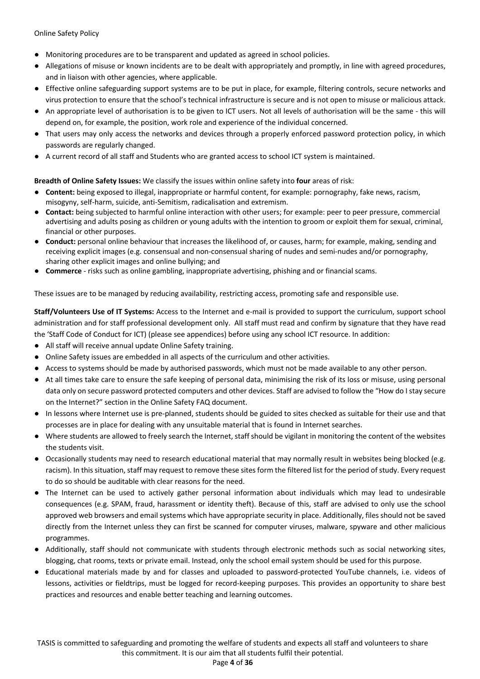- Monitoring procedures are to be transparent and updated as agreed in school policies.
- Allegations of misuse or known incidents are to be dealt with appropriately and promptly, in line with agreed procedures, and in liaison with other agencies, where applicable.
- Effective online safeguarding support systems are to be put in place, for example, filtering controls, secure networks and virus protection to ensure that the school's technical infrastructure is secure and is not open to misuse or malicious attack.
- An appropriate level of authorisation is to be given to ICT users. Not all levels of authorisation will be the same this will depend on, for example, the position, work role and experience of the individual concerned.
- That users may only access the networks and devices through a properly enforced password protection policy, in which passwords are regularly changed.
- A current record of all staff and Students who are granted access to school ICT system is maintained.

**Breadth of Online Safety Issues:** We classify the issues within online safety into **four** areas of risk:

- **Content:** being exposed to illegal, inappropriate or harmful content, for example: pornography, fake news, racism, misogyny, self-harm, suicide, anti-Semitism, radicalisation and extremism.
- **Contact:** being subjected to harmful online interaction with other users; for example: peer to peer pressure, commercial advertising and adults posing as children or young adults with the intention to groom or exploit them for sexual, criminal, financial or other purposes.
- **Conduct:** personal online behaviour that increases the likelihood of, or causes, harm; for example, making, sending and receiving explicit images (e.g. consensual and non-consensual sharing of nudes and semi-nudes and/or pornography, sharing other explicit images and online bullying; and
- **Commerce**  risks such as online gambling, inappropriate advertising, phishing and or financial scams.

These issues are to be managed by reducing availability, restricting access, promoting safe and responsible use.

**Staff/Volunteers Use of IT Systems:** Access to the Internet and e-mail is provided to support the curriculum, support school administration and for staff professional development only. All staff must read and confirm by signature that they have read the 'Staff Code of Conduct for ICT) (please see appendices) before using any school ICT resource. In addition:

- All staff will receive annual update Online Safety training.
- Online Safety issues are embedded in all aspects of the curriculum and other activities.
- Access to systems should be made by authorised passwords, which must not be made available to any other person.
- At all times take care to ensure the safe keeping of personal data, minimising the risk of its loss or misuse, using personal data only on secure password protected computers and other devices. Staff are advised to follow the "How do I stay secure on the Internet?" section in the Online Safety FAQ document.
- In lessons where Internet use is pre-planned, students should be guided to sites checked as suitable for their use and that processes are in place for dealing with any unsuitable material that is found in Internet searches.
- Where students are allowed to freely search the Internet, staff should be vigilant in monitoring the content of the websites the students visit.
- Occasionally students may need to research educational material that may normally result in websites being blocked (e.g. racism). In this situation, staff may request to remove these sites form the filtered list for the period of study. Every request to do so should be auditable with clear reasons for the need.
- The Internet can be used to actively gather personal information about individuals which may lead to undesirable consequences (e.g. SPAM, fraud, harassment or identity theft). Because of this, staff are advised to only use the school approved web browsers and email systems which have appropriate security in place. Additionally, files should not be saved directly from the Internet unless they can first be scanned for computer viruses, malware, spyware and other malicious programmes.
- Additionally, staff should not communicate with students through electronic methods such as social networking sites, blogging, chat rooms, texts or private email. Instead, only the school email system should be used for this purpose.
- Educational materials made by and for classes and uploaded to password-protected YouTube channels, i.e. videos of lessons, activities or fieldtrips, must be logged for record-keeping purposes. This provides an opportunity to share best practices and resources and enable better teaching and learning outcomes.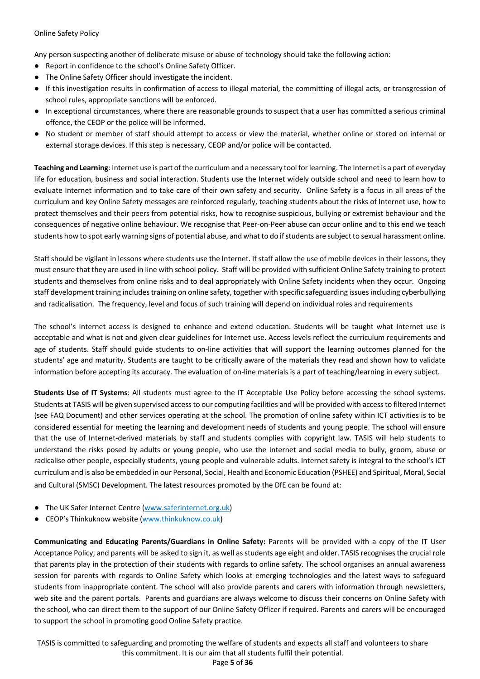Any person suspecting another of deliberate misuse or abuse of technology should take the following action:

- Report in confidence to the school's Online Safety Officer.
- The Online Safety Officer should investigate the incident.
- If this investigation results in confirmation of access to illegal material, the committing of illegal acts, or transgression of school rules, appropriate sanctions will be enforced.
- In exceptional circumstances, where there are reasonable grounds to suspect that a user has committed a serious criminal offence, the CEOP or the police will be informed.
- No student or member of staff should attempt to access or view the material, whether online or stored on internal or external storage devices. If this step is necessary, CEOP and/or police will be contacted.

**Teaching and Learning**: Internet use is part of the curriculum and a necessary tool for learning. The Internet is a part of everyday life for education, business and social interaction. Students use the Internet widely outside school and need to learn how to evaluate Internet information and to take care of their own safety and security. Online Safety is a focus in all areas of the curriculum and key Online Safety messages are reinforced regularly, teaching students about the risks of Internet use, how to protect themselves and their peers from potential risks, how to recognise suspicious, bullying or extremist behaviour and the consequences of negative online behaviour. We recognise that Peer-on-Peer abuse can occur online and to this end we teach students how to spot early warning signs of potential abuse, and what to do if students are subject to sexual harassment online.

Staff should be vigilant in lessons where students use the Internet. If staff allow the use of mobile devices in their lessons, they must ensure that they are used in line with school policy. Staff will be provided with sufficient Online Safety training to protect students and themselves from online risks and to deal appropriately with Online Safety incidents when they occur. Ongoing staff development training includes training on online safety, together with specific safeguarding issues including cyberbullying and radicalisation. The frequency, level and focus of such training will depend on individual roles and requirements

The school's Internet access is designed to enhance and extend education. Students will be taught what Internet use is acceptable and what is not and given clear guidelines for Internet use. Access levels reflect the curriculum requirements and age of students. Staff should guide students to on-line activities that will support the learning outcomes planned for the students' age and maturity. Students are taught to be critically aware of the materials they read and shown how to validate information before accepting its accuracy. The evaluation of on-line materials is a part of teaching/learning in every subject.

**Students Use of IT Systems**: All students must agree to the IT Acceptable Use Policy before accessing the school systems. Students at TASIS will be given supervised access to our computing facilities and will be provided with access to filtered Internet (see FAQ Document) and other services operating at the school. The promotion of online safety within ICT activities is to be considered essential for meeting the learning and development needs of students and young people. The school will ensure that the use of Internet-derived materials by staff and students complies with copyright law. TASIS will help students to understand the risks posed by adults or young people, who use the Internet and social media to bully, groom, abuse or radicalise other people, especially students, young people and vulnerable adults. Internet safety is integral to the school's ICT curriculum and is also be embedded in our Personal, Social, Health and Economic Education (PSHEE) and Spiritual, Moral, Social and Cultural (SMSC) Development. The latest resources promoted by the DfE can be found at:

- The UK Safer Internet Centre (www.saferinternet.org.uk)
- CEOP's Thinkuknow website (www.thinkuknow.co.uk)

**Communicating and Educating Parents/Guardians in Online Safety:** Parents will be provided with a copy of the IT User Acceptance Policy, and parents will be asked to sign it, as well as students age eight and older. TASIS recognises the crucial role that parents play in the protection of their students with regards to online safety. The school organises an annual awareness session for parents with regards to Online Safety which looks at emerging technologies and the latest ways to safeguard students from inappropriate content. The school will also provide parents and carers with information through newsletters, web site and the parent portals. Parents and guardians are always welcome to discuss their concerns on Online Safety with the school, who can direct them to the support of our Online Safety Officer if required. Parents and carers will be encouraged to support the school in promoting good Online Safety practice.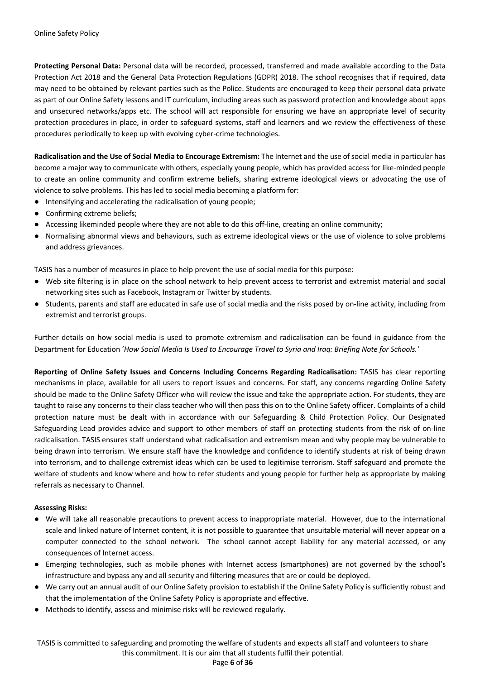**Protecting Personal Data:** Personal data will be recorded, processed, transferred and made available according to the Data Protection Act 2018 and the General Data Protection Regulations (GDPR) 2018. The school recognises that if required, data may need to be obtained by relevant parties such as the Police. Students are encouraged to keep their personal data private as part of our Online Safety lessons and IT curriculum, including areas such as password protection and knowledge about apps and unsecured networks/apps etc. The school will act responsible for ensuring we have an appropriate level of security protection procedures in place, in order to safeguard systems, staff and learners and we review the effectiveness of these procedures periodically to keep up with evolving cyber-crime technologies.

**Radicalisation and the Use of Social Media to Encourage Extremism:** The Internet and the use of social media in particular has become a major way to communicate with others, especially young people, which has provided access for like-minded people to create an online community and confirm extreme beliefs, sharing extreme ideological views or advocating the use of violence to solve problems. This has led to social media becoming a platform for:

- Intensifying and accelerating the radicalisation of young people;
- Confirming extreme beliefs;
- Accessing likeminded people where they are not able to do this off-line, creating an online community;
- Normalising abnormal views and behaviours, such as extreme ideological views or the use of violence to solve problems and address grievances.

TASIS has a number of measures in place to help prevent the use of social media for this purpose:

- Web site filtering is in place on the school network to help prevent access to terrorist and extremist material and social networking sites such as Facebook, Instagram or Twitter by students.
- Students, parents and staff are educated in safe use of social media and the risks posed by on-line activity, including from extremist and terrorist groups.

Further details on how social media is used to promote extremism and radicalisation can be found in guidance from the Department for Education '*How Social Media Is Used to Encourage Travel to Syria and Iraq: Briefing Note for Schools.'* 

**Reporting of Online Safety Issues and Concerns Including Concerns Regarding Radicalisation:** TASIS has clear reporting mechanisms in place, available for all users to report issues and concerns. For staff, any concerns regarding Online Safety should be made to the Online Safety Officer who will review the issue and take the appropriate action. For students, they are taught to raise any concerns to their class teacher who will then pass this on to the Online Safety officer. Complaints of a child protection nature must be dealt with in accordance with our Safeguarding & Child Protection Policy. Our Designated Safeguarding Lead provides advice and support to other members of staff on protecting students from the risk of on-line radicalisation. TASIS ensures staff understand what radicalisation and extremism mean and why people may be vulnerable to being drawn into terrorism. We ensure staff have the knowledge and confidence to identify students at risk of being drawn into terrorism, and to challenge extremist ideas which can be used to legitimise terrorism. Staff safeguard and promote the welfare of students and know where and how to refer students and young people for further help as appropriate by making referrals as necessary to Channel.

#### **Assessing Risks:**

- We will take all reasonable precautions to prevent access to inappropriate material. However, due to the international scale and linked nature of Internet content, it is not possible to guarantee that unsuitable material will never appear on a computer connected to the school network. The school cannot accept liability for any material accessed, or any consequences of Internet access.
- Emerging technologies, such as mobile phones with Internet access (smartphones) are not governed by the school's infrastructure and bypass any and all security and filtering measures that are or could be deployed.
- We carry out an annual audit of our Online Safety provision to establish if the Online Safety Policy is sufficiently robust and that the implementation of the Online Safety Policy is appropriate and effective.
- Methods to identify, assess and minimise risks will be reviewed regularly.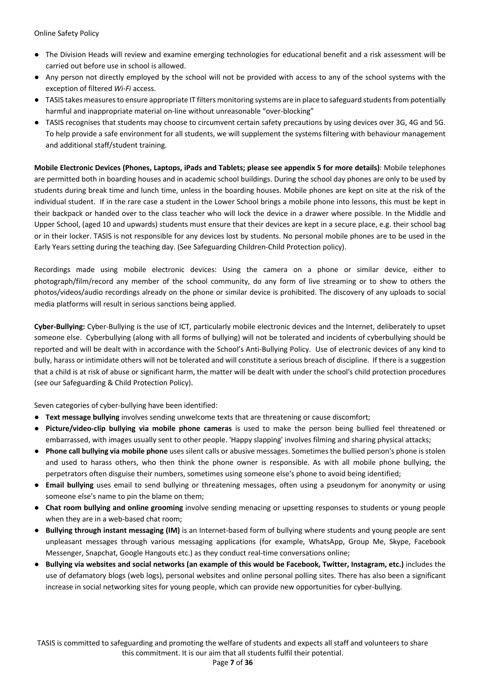- The Division Heads will review and examine emerging technologies for educational benefit and a risk assessment will be carried out before use in school is allowed.
- Any person not directly employed by the school will not be provided with access to any of the school systems with the exception of filtered *Wi-Fi* access.
- TASIS takes measures to ensure appropriate IT filters monitoring systems are in place to safeguard students from potentially harmful and inappropriate material on-line without unreasonable "over-blocking"
- TASIS recognises that students may choose to circumvent certain safety precautions by using devices over 3G, 4G and 5G. To help provide a safe environment for all students, we will supplement the systems filtering with behaviour management and additional staff/student training.

**Mobile Electronic Devices (Phones, Laptops, iPads and Tablets; please see appendix 5 for more details)**: Mobile telephones are permitted both in boarding houses and in academic school buildings. During the school day phones are only to be used by students during break time and lunch time, unless in the boarding houses. Mobile phones are kept on site at the risk of the individual student. If in the rare case a student in the Lower School brings a mobile phone into lessons, this must be kept in their backpack or handed over to the class teacher who will lock the device in a drawer where possible. In the Middle and Upper School, (aged 10 and upwards) students must ensure that their devices are kept in a secure place, e.g. their school bag or in their locker. TASIS is not responsible for any devices lost by students. No personal mobile phones are to be used in the Early Years setting during the teaching day. (See Safeguarding Children-Child Protection policy).

Recordings made using mobile electronic devices: Using the camera on a phone or similar device, either to photograph/film/record any member of the school community, do any form of live streaming or to show to others the photos/videos/audio recordings already on the phone or similar device is prohibited. The discovery of any uploads to social media platforms will result in serious sanctions being applied.

**Cyber-Bullying:** Cyber-Bullying is the use of ICT, particularly mobile electronic devices and the Internet, deliberately to upset someone else. Cyberbullying (along with all forms of bullying) will not be tolerated and incidents of cyberbullying should be reported and will be dealt with in accordance with the School's Anti-Bullying Policy. Use of electronic devices of any kind to bully, harass or intimidate others will not be tolerated and will constitute a serious breach of discipline. If there is a suggestion that a child is at risk of abuse or significant harm, the matter will be dealt with under the school's child protection procedures (see our Safeguarding & Child Protection Policy).

Seven categories of cyber-bullying have been identified:

- **Text message bullying** involves sending unwelcome texts that are threatening or cause discomfort;
- **Picture/video-clip bullying via mobile phone cameras** is used to make the person being bullied feel threatened or embarrassed, with images usually sent to other people. 'Happy slapping' involves filming and sharing physical attacks;
- **Phone call bullying via mobile phone** uses silent calls or abusive messages. Sometimes the bullied person's phone is stolen and used to harass others, who then think the phone owner is responsible. As with all mobile phone bullying, the perpetrators often disguise their numbers, sometimes using someone else's phone to avoid being identified;
- **Email bullying** uses email to send bullying or threatening messages, often using a pseudonym for anonymity or using someone else's name to pin the blame on them;
- **Chat room bullying and online grooming** involve sending menacing or upsetting responses to students or young people when they are in a web-based chat room;
- **Bullying through instant messaging (IM)** is an Internet-based form of bullying where students and young people are sent unpleasant messages through various messaging applications (for example, WhatsApp, Group Me, Skype, Facebook Messenger, Snapchat, Google Hangouts etc.) as they conduct real-time conversations online;
- **Bullying via websites and social networks (an example of this would be Facebook, Twitter, Instagram, etc.)** includes the use of defamatory blogs (web logs), personal websites and online personal polling sites. There has also been a significant increase in social networking sites for young people, which can provide new opportunities for cyber-bullying.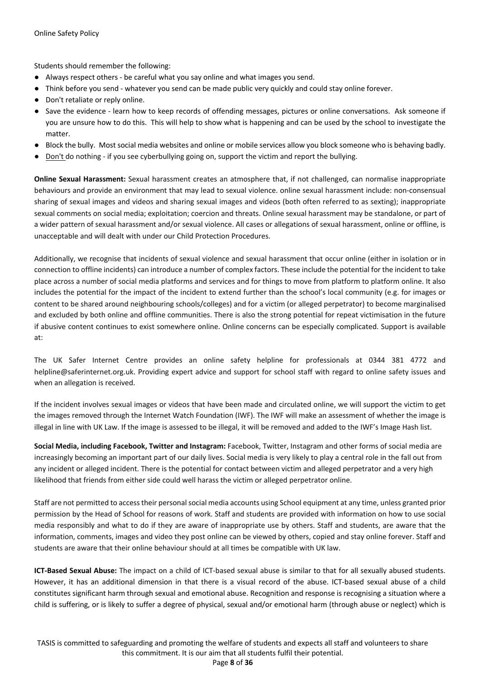Students should remember the following:

- Always respect others be careful what you say online and what images you send.
- Think before you send whatever you send can be made public very quickly and could stay online forever.
- Don't retaliate or reply online.
- Save the evidence learn how to keep records of offending messages, pictures or online conversations. Ask someone if you are unsure how to do this. This will help to show what is happening and can be used by the school to investigate the matter.
- Block the bully. Most social media websites and online or mobile services allow you block someone who is behaving badly.
- Don't do nothing if you see cyberbullying going on, support the victim and report the bullying.

**Online Sexual Harassment:** Sexual harassment creates an atmosphere that, if not challenged, can normalise inappropriate behaviours and provide an environment that may lead to sexual violence. online sexual harassment include: non-consensual sharing of sexual images and videos and sharing sexual images and videos (both often referred to as sexting); inappropriate sexual comments on social media; exploitation; coercion and threats. Online sexual harassment may be standalone, or part of a wider pattern of sexual harassment and/or sexual violence. All cases or allegations of sexual harassment, online or offline, is unacceptable and will dealt with under our Child Protection Procedures.

Additionally, we recognise that incidents of sexual violence and sexual harassment that occur online (either in isolation or in connection to offline incidents) can introduce a number of complex factors. These include the potential for the incident to take place across a number of social media platforms and services and for things to move from platform to platform online. It also includes the potential for the impact of the incident to extend further than the school's local community (e.g. for images or content to be shared around neighbouring schools/colleges) and for a victim (or alleged perpetrator) to become marginalised and excluded by both online and offline communities. There is also the strong potential for repeat victimisation in the future if abusive content continues to exist somewhere online. Online concerns can be especially complicated. Support is available at:

The UK Safer Internet Centre provides an online safety helpline for professionals at 0344 381 4772 and helpline@saferinternet.org.uk. Providing expert advice and support for school staff with regard to online safety issues and when an allegation is received.

If the incident involves sexual images or videos that have been made and circulated online, we will support the victim to get the images removed through the Internet Watch Foundation (IWF). The IWF will make an assessment of whether the image is illegal in line with UK Law. If the image is assessed to be illegal, it will be removed and added to the IWF's Image Hash list.

**Social Media, including Facebook, Twitter and Instagram:** Facebook, Twitter, Instagram and other forms of social media are increasingly becoming an important part of our daily lives. Social media is very likely to play a central role in the fall out from any incident or alleged incident. There is the potential for contact between victim and alleged perpetrator and a very high likelihood that friends from either side could well harass the victim or alleged perpetrator online.

Staff are not permitted to access their personal social media accounts using School equipment at any time, unless granted prior permission by the Head of School for reasons of work. Staff and students are provided with information on how to use social media responsibly and what to do if they are aware of inappropriate use by others. Staff and students, are aware that the information, comments, images and video they post online can be viewed by others, copied and stay online forever. Staff and students are aware that their online behaviour should at all times be compatible with UK law.

**ICT-Based Sexual Abuse:** The impact on a child of ICT-based sexual abuse is similar to that for all sexually abused students. However, it has an additional dimension in that there is a visual record of the abuse. ICT-based sexual abuse of a child constitutes significant harm through sexual and emotional abuse. Recognition and response is recognising a situation where a child is suffering, or is likely to suffer a degree of physical, sexual and/or emotional harm (through abuse or neglect) which is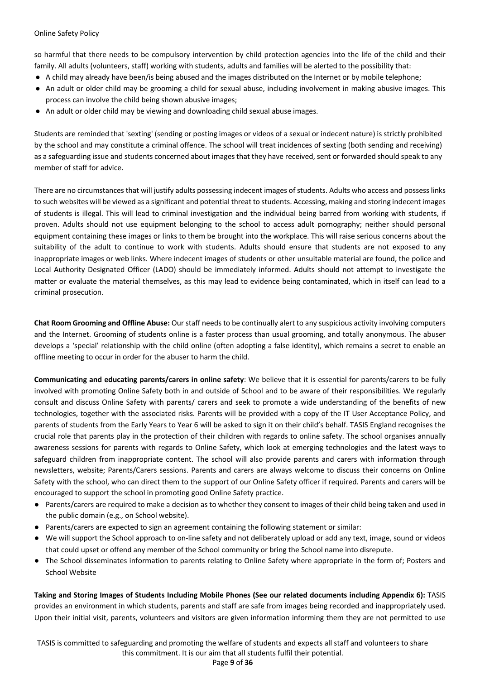so harmful that there needs to be compulsory intervention by child protection agencies into the life of the child and their family. All adults (volunteers, staff) working with students, adults and families will be alerted to the possibility that:

- A child may already have been/is being abused and the images distributed on the Internet or by mobile telephone;
- An adult or older child may be grooming a child for sexual abuse, including involvement in making abusive images. This process can involve the child being shown abusive images;
- An adult or older child may be viewing and downloading child sexual abuse images.

Students are reminded that 'sexting' (sending or posting images or videos of a sexual or indecent nature) is strictly prohibited by the school and may constitute a criminal offence. The school will treat incidences of sexting (both sending and receiving) as a safeguarding issue and students concerned about images that they have received, sent or forwarded should speak to any member of staff for advice.

There are no circumstances that will justify adults possessing indecent images of students. Adults who access and possess links to such websites will be viewed as a significant and potential threat to students. Accessing, making and storing indecent images of students is illegal. This will lead to criminal investigation and the individual being barred from working with students, if proven. Adults should not use equipment belonging to the school to access adult pornography; neither should personal equipment containing these images or links to them be brought into the workplace. This will raise serious concerns about the suitability of the adult to continue to work with students. Adults should ensure that students are not exposed to any inappropriate images or web links. Where indecent images of students or other unsuitable material are found, the police and Local Authority Designated Officer (LADO) should be immediately informed. Adults should not attempt to investigate the matter or evaluate the material themselves, as this may lead to evidence being contaminated, which in itself can lead to a criminal prosecution.

**Chat Room Grooming and Offline Abuse:** Our staff needs to be continually alert to any suspicious activity involving computers and the Internet. Grooming of students online is a faster process than usual grooming, and totally anonymous. The abuser develops a 'special' relationship with the child online (often adopting a false identity), which remains a secret to enable an offline meeting to occur in order for the abuser to harm the child.

**Communicating and educating parents/carers in online safety**: We believe that it is essential for parents/carers to be fully involved with promoting Online Safety both in and outside of School and to be aware of their responsibilities. We regularly consult and discuss Online Safety with parents/ carers and seek to promote a wide understanding of the benefits of new technologies, together with the associated risks. Parents will be provided with a copy of the IT User Acceptance Policy, and parents of students from the Early Years to Year 6 will be asked to sign it on their child's behalf. TASIS England recognises the crucial role that parents play in the protection of their children with regards to online safety. The school organises annually awareness sessions for parents with regards to Online Safety, which look at emerging technologies and the latest ways to safeguard children from inappropriate content. The school will also provide parents and carers with information through newsletters, website; Parents/Carers sessions. Parents and carers are always welcome to discuss their concerns on Online Safety with the school, who can direct them to the support of our Online Safety officer if required. Parents and carers will be encouraged to support the school in promoting good Online Safety practice.

- Parents/carers are required to make a decision as to whether they consent to images of their child being taken and used in the public domain (e.g., on School website).
- Parents/carers are expected to sign an agreement containing the following statement or similar:
- We will support the School approach to on-line safety and not deliberately upload or add any text, image, sound or videos that could upset or offend any member of the School community or bring the School name into disrepute.
- The School disseminates information to parents relating to Online Safety where appropriate in the form of; Posters and School Website

**Taking and Storing Images of Students Including Mobile Phones (See our related documents including Appendix 6):** TASIS provides an environment in which students, parents and staff are safe from images being recorded and inappropriately used. Upon their initial visit, parents, volunteers and visitors are given information informing them they are not permitted to use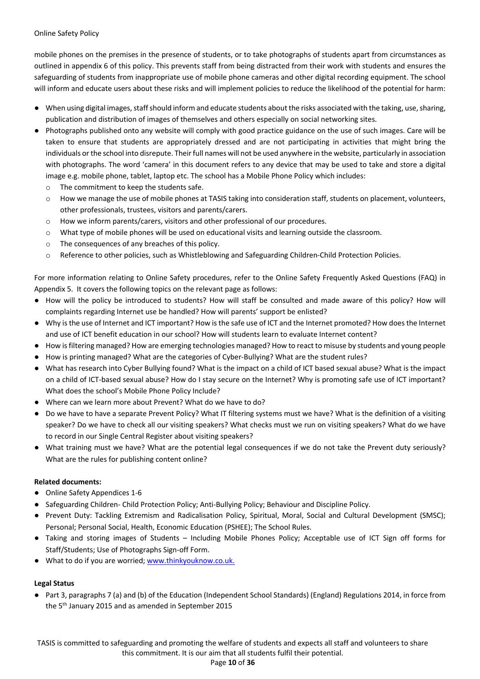mobile phones on the premises in the presence of students, or to take photographs of students apart from circumstances as outlined in appendix 6 of this policy. This prevents staff from being distracted from their work with students and ensures the safeguarding of students from inappropriate use of mobile phone cameras and other digital recording equipment. The school will inform and educate users about these risks and will implement policies to reduce the likelihood of the potential for harm:

- When using digital images, staff should inform and educate students about the risks associated with the taking, use, sharing, publication and distribution of images of themselves and others especially on social networking sites.
- Photographs published onto any website will comply with good practice guidance on the use of such images. Care will be taken to ensure that students are appropriately dressed and are not participating in activities that might bring the individuals or the school into disrepute. Their full names will not be used anywhere in the website, particularly in association with photographs. The word 'camera' in this document refers to any device that may be used to take and store a digital image e.g. mobile phone, tablet, laptop etc. The school has a Mobile Phone Policy which includes:
	- o The commitment to keep the students safe.
	- o How we manage the use of mobile phones at TASIS taking into consideration staff, students on placement, volunteers, other professionals, trustees, visitors and parents/carers.
	- o How we inform parents/carers, visitors and other professional of our procedures.
	- o What type of mobile phones will be used on educational visits and learning outside the classroom.
	- o The consequences of any breaches of this policy.
	- o Reference to other policies, such as Whistleblowing and Safeguarding Children-Child Protection Policies.

For more information relating to Online Safety procedures, refer to the Online Safety Frequently Asked Questions (FAQ) in Appendix 5. It covers the following topics on the relevant page as follows:

- How will the policy be introduced to students? How will staff be consulted and made aware of this policy? How will complaints regarding Internet use be handled? How will parents' support be enlisted?
- Why is the use of Internet and ICT important? How is the safe use of ICT and the Internet promoted? How does the Internet and use of ICT benefit education in our school? How will students learn to evaluate Internet content?
- How is filtering managed? How are emerging technologies managed? How to react to misuse by students and young people
- How is printing managed? What are the categories of Cyber-Bullying? What are the student rules?
- What has research into Cyber Bullying found? What is the impact on a child of ICT based sexual abuse? What is the impact on a child of ICT-based sexual abuse? How do I stay secure on the Internet? Why is promoting safe use of ICT important? What does the school's Mobile Phone Policy Include?
- Where can we learn more about Prevent? What do we have to do?
- Do we have to have a separate Prevent Policy? What IT filtering systems must we have? What is the definition of a visiting speaker? Do we have to check all our visiting speakers? What checks must we run on visiting speakers? What do we have to record in our Single Central Register about visiting speakers?
- What training must we have? What are the potential legal consequences if we do not take the Prevent duty seriously? What are the rules for publishing content online?

#### **Related documents:**

- Online Safety Appendices 1-6
- Safeguarding Children- Child Protection Policy; Anti-Bullying Policy; Behaviour and Discipline Policy.
- Prevent Duty: Tackling Extremism and Radicalisation Policy, Spiritual, Moral, Social and Cultural Development (SMSC); Personal; Personal Social, Health, Economic Education (PSHEE); The School Rules.
- Taking and storing images of Students Including Mobile Phones Policy; Acceptable use of ICT Sign off forms for Staff/Students; Use of Photographs Sign-off Form.
- What to do if you are worried; www.thinkyouknow.co.uk.

#### **Legal Status**

● Part 3, paragraphs 7 (a) and (b) of the Education (Independent School Standards) (England) Regulations 2014, in force from the 5th January 2015 and as amended in September 2015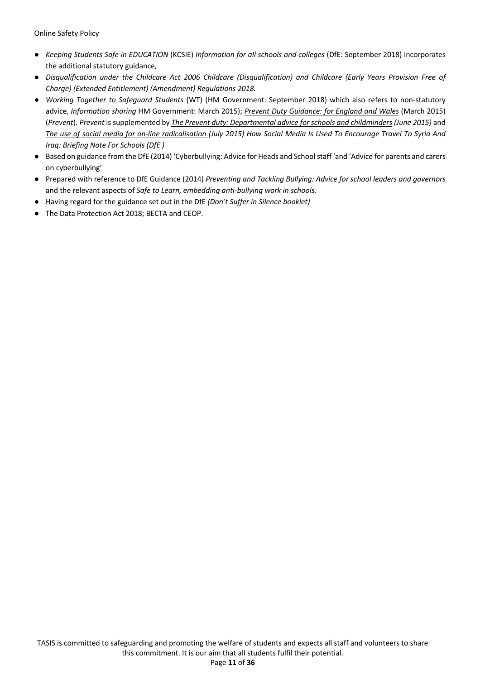- *Keeping Students Safe in EDUCATION* (KCSIE) *Information for all schools and colleges* (DfE: September 2018) incorporates the additional statutory guidance,
- *Disqualification under the Childcare Act 2006 Childcare (Disqualification) and Childcare (Early Years Provision Free of Charge) (Extended Entitlement) (Amendment) Regulations 2018.*
- *Working Together to Safeguard Students* (WT) (HM Government: September 2018) which also refers to non-statutory advice, *Information sharing* HM Government: March 2015); *Prevent Duty Guidance: for England and Wales* (March 2015) (*Prevent*). *Prevent* is supplemented by *The Prevent duty: Departmental advice for schools and childminders (June 2015)* and *The use of social media for on-line radicalisation (July 2015) How Social Media Is Used To Encourage Travel To Syria And Iraq: Briefing Note For Schools (DfE )*
- Based on guidance from the DfE (2014) 'Cyberbullying: Advice for Heads and School staff 'and 'Advice for parents and carers on cyberbullying'
- Prepared with reference to DfE Guidance (2014) *Preventing and Tackling Bullying: Advice for school leaders and governors*  and the relevant aspects of *Safe to Learn, embedding anti-bullying work in schools.*
- Having regard for the guidance set out in the DfE *(Don't Suffer in Silence booklet)*
- The Data Protection Act 2018; BECTA and CEOP.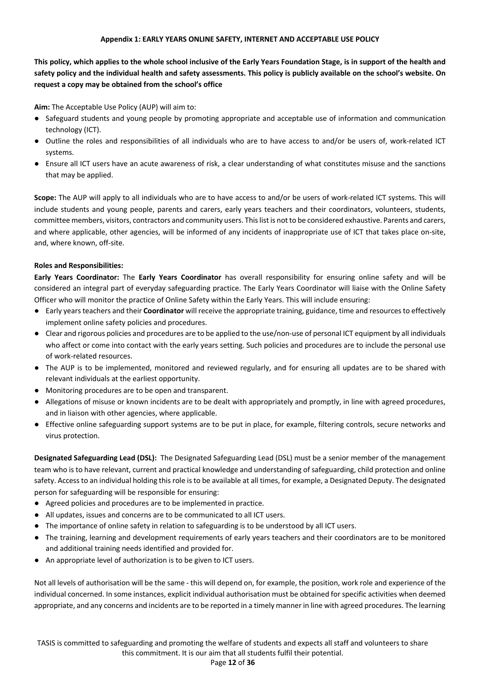#### **Appendix 1: EARLY YEARS ONLINE SAFETY, INTERNET AND ACCEPTABLE USE POLICY**

**This policy, which applies to the whole school inclusive of the Early Years Foundation Stage, is in support of the health and safety policy and the individual health and safety assessments. This policy is publicly available on the school's website. On request a copy may be obtained from the school's office** 

**Aim:** The Acceptable Use Policy (AUP) will aim to:

- Safeguard students and young people by promoting appropriate and acceptable use of information and communication technology (ICT).
- Outline the roles and responsibilities of all individuals who are to have access to and/or be users of, work-related ICT systems.
- Ensure all ICT users have an acute awareness of risk, a clear understanding of what constitutes misuse and the sanctions that may be applied.

**Scope:** The AUP will apply to all individuals who are to have access to and/or be users of work-related ICT systems. This will include students and young people, parents and carers, early years teachers and their coordinators, volunteers, students, committee members, visitors, contractors and community users. This list is not to be considered exhaustive. Parents and carers, and where applicable, other agencies, will be informed of any incidents of inappropriate use of ICT that takes place on-site, and, where known, off-site.

#### **Roles and Responsibilities:**

**Early Years Coordinator:** The **Early Years Coordinator** has overall responsibility for ensuring online safety and will be considered an integral part of everyday safeguarding practice. The Early Years Coordinator will liaise with the Online Safety Officer who will monitor the practice of Online Safety within the Early Years. This will include ensuring:

- Early years teachers and their **Coordinator** will receive the appropriate training, guidance, time and resources to effectively implement online safety policies and procedures.
- Clear and rigorous policies and procedures are to be applied to the use/non-use of personal ICT equipment by all individuals who affect or come into contact with the early years setting. Such policies and procedures are to include the personal use of work-related resources.
- The AUP is to be implemented, monitored and reviewed regularly, and for ensuring all updates are to be shared with relevant individuals at the earliest opportunity.
- Monitoring procedures are to be open and transparent.
- Allegations of misuse or known incidents are to be dealt with appropriately and promptly, in line with agreed procedures, and in liaison with other agencies, where applicable.
- Effective online safeguarding support systems are to be put in place, for example, filtering controls, secure networks and virus protection.

**Designated Safeguarding Lead (DSL):**The Designated Safeguarding Lead (DSL) must be a senior member of the management team who is to have relevant, current and practical knowledge and understanding of safeguarding, child protection and online safety. Access to an individual holding this role is to be available at all times, for example, a Designated Deputy. The designated person for safeguarding will be responsible for ensuring:

- Agreed policies and procedures are to be implemented in practice.
- All updates, issues and concerns are to be communicated to all ICT users.
- The importance of online safety in relation to safeguarding is to be understood by all ICT users.
- The training, learning and development requirements of early years teachers and their coordinators are to be monitored and additional training needs identified and provided for.
- An appropriate level of authorization is to be given to ICT users.

Not all levels of authorisation will be the same - this will depend on, for example, the position, work role and experience of the individual concerned. In some instances, explicit individual authorisation must be obtained for specific activities when deemed appropriate, and any concerns and incidents are to be reported in a timely manner in line with agreed procedures. The learning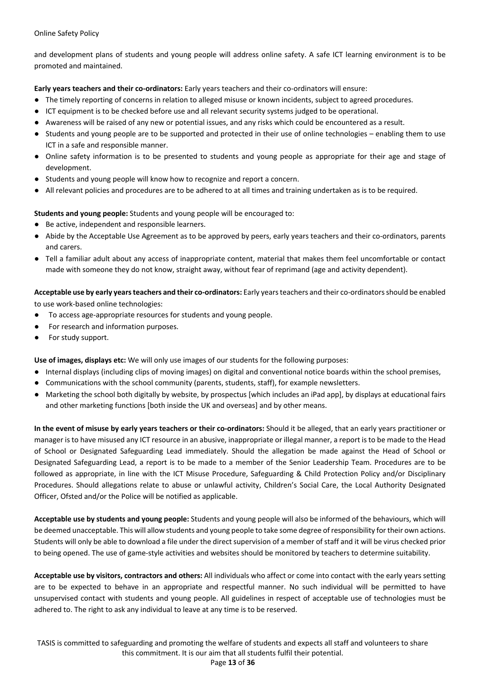and development plans of students and young people will address online safety. A safe ICT learning environment is to be promoted and maintained.

**Early years teachers and their co-ordinators:** Early years teachers and their co-ordinators will ensure:

- The timely reporting of concerns in relation to alleged misuse or known incidents, subject to agreed procedures.
- ICT equipment is to be checked before use and all relevant security systems judged to be operational.
- Awareness will be raised of any new or potential issues, and any risks which could be encountered as a result.
- Students and young people are to be supported and protected in their use of online technologies enabling them to use ICT in a safe and responsible manner.
- Online safety information is to be presented to students and young people as appropriate for their age and stage of development.
- Students and young people will know how to recognize and report a concern.
- All relevant policies and procedures are to be adhered to at all times and training undertaken as is to be required.

**Students and young people:** Students and young people will be encouraged to:

- Be active, independent and responsible learners.
- Abide by the Acceptable Use Agreement as to be approved by peers, early years teachers and their co-ordinators, parents and carers.
- Tell a familiar adult about any access of inappropriate content, material that makes them feel uncomfortable or contact made with someone they do not know, straight away, without fear of reprimand (age and activity dependent).

**Acceptable use by early years teachers and their co-ordinators:** Early years teachers and their co-ordinators should be enabled to use work-based online technologies:

- To access age-appropriate resources for students and young people.
- For research and information purposes.
- For study support.

**Use of images, displays etc:** We will only use images of our students for the following purposes:

- Internal displays (including clips of moving images) on digital and conventional notice boards within the school premises,
- Communications with the school community (parents, students, staff), for example newsletters.
- Marketing the school both digitally by website, by prospectus [which includes an iPad app], by displays at educational fairs and other marketing functions [both inside the UK and overseas] and by other means.

**In the event of misuse by early years teachers or their co-ordinators:** Should it be alleged, that an early years practitioner or manager is to have misused any ICT resource in an abusive, inappropriate or illegal manner, a report is to be made to the Head of School or Designated Safeguarding Lead immediately. Should the allegation be made against the Head of School or Designated Safeguarding Lead, a report is to be made to a member of the Senior Leadership Team. Procedures are to be followed as appropriate, in line with the ICT Misuse Procedure, Safeguarding & Child Protection Policy and/or Disciplinary Procedures. Should allegations relate to abuse or unlawful activity, Children's Social Care, the Local Authority Designated Officer, Ofsted and/or the Police will be notified as applicable.

**Acceptable use by students and young people:** Students and young people will also be informed of the behaviours, which will be deemed unacceptable. This will allow students and young people to take some degree of responsibility for their own actions. Students will only be able to download a file under the direct supervision of a member of staff and it will be virus checked prior to being opened. The use of game-style activities and websites should be monitored by teachers to determine suitability.

**Acceptable use by visitors, contractors and others:** All individuals who affect or come into contact with the early years setting are to be expected to behave in an appropriate and respectful manner. No such individual will be permitted to have unsupervised contact with students and young people. All guidelines in respect of acceptable use of technologies must be adhered to. The right to ask any individual to leave at any time is to be reserved.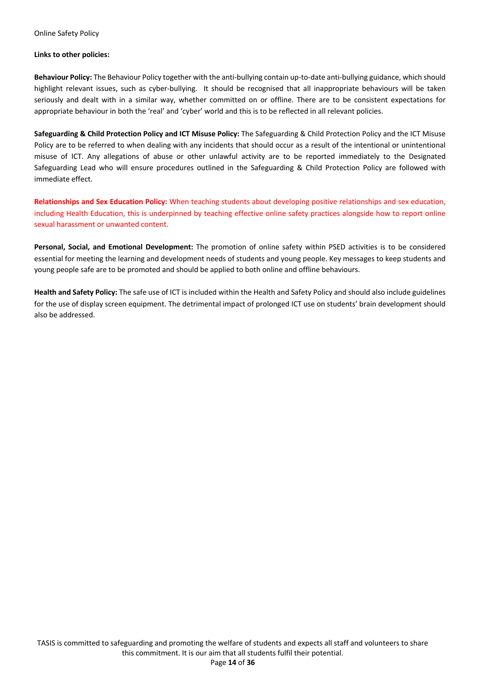#### **Links to other policies:**

**Behaviour Policy:** The Behaviour Policy together with the anti-bullying contain up-to-date anti-bullying guidance, which should highlight relevant issues, such as cyber-bullying. It should be recognised that all inappropriate behaviours will be taken seriously and dealt with in a similar way, whether committed on or offline. There are to be consistent expectations for appropriate behaviour in both the 'real' and 'cyber' world and this is to be reflected in all relevant policies.

**Safeguarding & Child Protection Policy and ICT Misuse Policy:** The Safeguarding & Child Protection Policy and the ICT Misuse Policy are to be referred to when dealing with any incidents that should occur as a result of the intentional or unintentional misuse of ICT. Any allegations of abuse or other unlawful activity are to be reported immediately to the Designated Safeguarding Lead who will ensure procedures outlined in the Safeguarding & Child Protection Policy are followed with immediate effect.

**Relationships and Sex Education Policy:** When teaching students about developing positive relationships and sex education, including Health Education, this is underpinned by teaching effective online safety practices alongside how to report online sexual harassment or unwanted content.

**Personal, Social, and Emotional Development:** The promotion of online safety within PSED activities is to be considered essential for meeting the learning and development needs of students and young people. Key messages to keep students and young people safe are to be promoted and should be applied to both online and offline behaviours.

**Health and Safety Policy:** The safe use of ICT is included within the Health and Safety Policy and should also include guidelines for the use of display screen equipment. The detrimental impact of prolonged ICT use on students' brain development should also be addressed.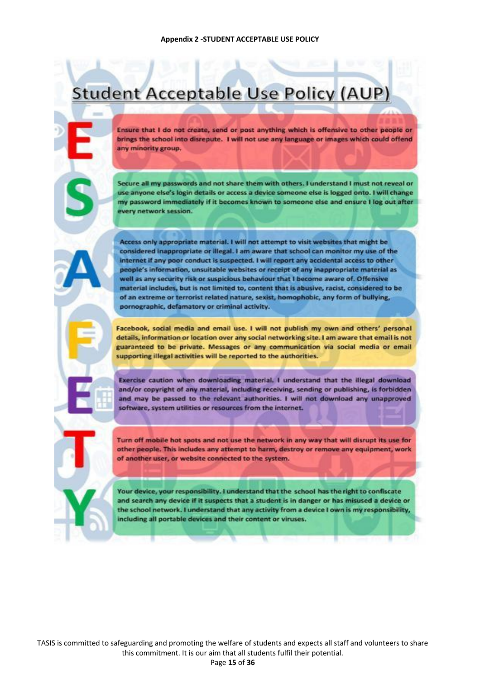## **Student Acceptable Use Policy (AUP)**

Ensure that I do not create, send or post anything which is offensive to other people or brings the school into disrepute. I will not use any language or images which could offend any minority group.

Secure all my passwords and not share them with others. I understand I must not reveal or use anyone else's login details or access a device someone else is logged onto. I will change my password immediately if it becomes known to someone else and ensure I log out after every network session.

Access only appropriate material. I will not attempt to visit websites that might be considered inappropriate or illegal. I am aware that school can monitor my use of the internet if any poor conduct is suspected. I will report any accidental access to other people's information, unsuitable websites or receipt of any inappropriate material as well as any security risk or suspicious behaviour that I become aware of. Offensive material includes, but is not limited to, content that is abusive, racist, considered to be of an extreme or terrorist related nature, sexist, homophobic, any form of bullying, pornographic, defamatory or criminal activity.

Facebook, social media and email use. I will not publish my own and others' personal details, information or location over any social networking site. I am aware that email is not guaranteed to be private. Messages or any communication via social media or email supporting illegal activities will be reported to the authorities.

Exercise caution when downloading material. I understand that the illegal download and/or copyright of any material, including receiving, sending or publishing, is forbidden and may be passed to the relevant authorities. I will not download any unapproved software, system utilities or resources from the internet.

Turn off mobile hot spots and not use the network in any way that will disrupt its use for other people. This includes any attempt to harm, destroy or remove any equipment, work of another user, or website connected to the system.

Your device, your responsibility. I understand that the school has the right to confiscate and search any device if it suspects that a student is in danger or has misused a device or the school network. I understand that any activity from a device I own is my responsibility, including all portable devices and their content or viruses.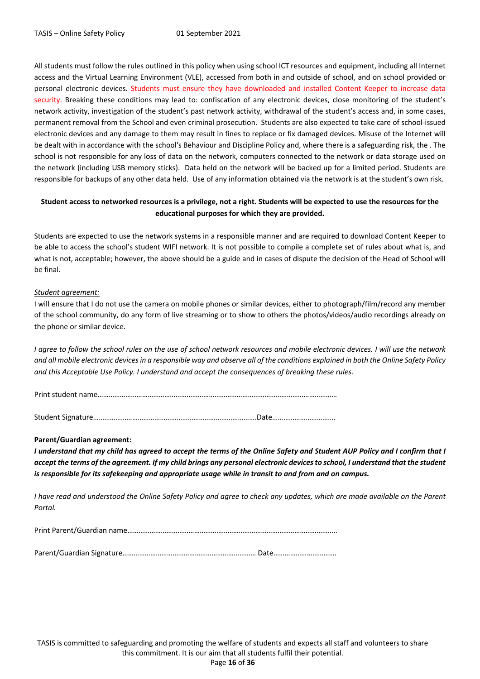All students must follow the rules outlined in this policy when using school ICT resources and equipment, including all Internet access and the Virtual Learning Environment (VLE), accessed from both in and outside of school, and on school provided or personal electronic devices. Students must ensure they have downloaded and installed Content Keeper to increase data security. Breaking these conditions may lead to: confiscation of any electronic devices, close monitoring of the student's network activity, investigation of the student's past network activity, withdrawal of the student's access and, in some cases, permanent removal from the School and even criminal prosecution. Students are also expected to take care of school-issued electronic devices and any damage to them may result in fines to replace or fix damaged devices. Misuse of the Internet will be dealt with in accordance with the school's Behaviour and Discipline Policy and, where there is a safeguarding risk, the . The school is not responsible for any loss of data on the network, computers connected to the network or data storage used on the network (including USB memory sticks). Data held on the network will be backed up for a limited period. Students are responsible for backups of any other data held. Use of any information obtained via the network is at the student's own risk.

#### **Student access to networked resources is a privilege, not a right. Students will be expected to use the resources for the educational purposes for which they are provided.**

Students are expected to use the network systems in a responsible manner and are required to download Content Keeper to be able to access the school's student WIFI network. It is not possible to compile a complete set of rules about what is, and what is not, acceptable; however, the above should be a guide and in cases of dispute the decision of the Head of School will be final.

#### *Student agreement:*

I will ensure that I do not use the camera on mobile phones or similar devices, either to photograph/film/record any member of the school community, do any form of live streaming or to show to others the photos/videos/audio recordings already on the phone or similar device.

*I agree to follow the school rules on the use of school network resources and mobile electronic devices. I will use the network and all mobile electronic devices in a responsible way and observe all of the conditions explained in both the Online Safety Policy and this Acceptable Use Policy. I understand and accept the consequences of breaking these rules.*

Print student name…………………………………………………………………………………………………………………

Student Signature…………………………………………………………………………….Date…………………………….

#### **Parent/Guardian agreement:**

*I understand that my child has agreed to accept the terms of the Online Safety and Student AUP Policy and I confirm that I accept the terms of the agreement. If my child brings any personal electronic devices to school, I understand that the student is responsible for its safekeeping and appropriate usage while in transit to and from and on campus.* 

*I have read and understood the Online Safety Policy and agree to check any updates, which are made available on the Parent Portal.*

Print Parent/Guardian name…………………………………………………………………………………………………..

Parent/Guardian Signature……………………………………………………………… Date…………………………….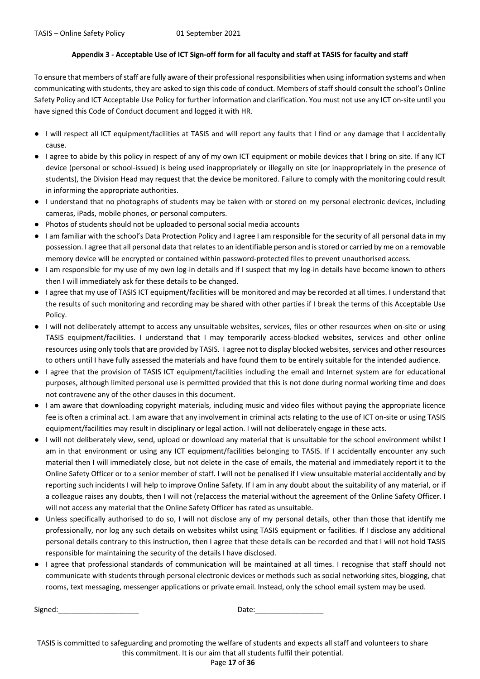#### **Appendix 3 - Acceptable Use of ICT Sign-off form for all faculty and staff at TASIS for faculty and staff**

To ensure that members of staff are fully aware of their professional responsibilities when using information systems and when communicating with students, they are asked to sign this code of conduct. Members of staff should consult the school's Online Safety Policy and ICT Acceptable Use Policy for further information and clarification. You must not use any ICT on-site until you have signed this Code of Conduct document and logged it with HR.

- I will respect all ICT equipment/facilities at TASIS and will report any faults that I find or any damage that I accidentally cause.
- I agree to abide by this policy in respect of any of my own ICT equipment or mobile devices that I bring on site. If any ICT device (personal or school-issued) is being used inappropriately or illegally on site (or inappropriately in the presence of students), the Division Head may request that the device be monitored. Failure to comply with the monitoring could result in informing the appropriate authorities.
- I understand that no photographs of students may be taken with or stored on my personal electronic devices, including cameras, iPads, mobile phones, or personal computers.
- Photos of students should not be uploaded to personal social media accounts
- I am familiar with the school's Data Protection Policy and I agree I am responsible for the security of all personal data in my possession. I agree that all personal data that relates to an identifiable person and is stored or carried by me on a removable memory device will be encrypted or contained within password-protected files to prevent unauthorised access.
- I am responsible for my use of my own log-in details and if I suspect that my log-in details have become known to others then I will immediately ask for these details to be changed.
- I agree that my use of TASIS ICT equipment/facilities will be monitored and may be recorded at all times. I understand that the results of such monitoring and recording may be shared with other parties if I break the terms of this Acceptable Use Policy.
- I will not deliberately attempt to access any unsuitable websites, services, files or other resources when on-site or using TASIS equipment/facilities. I understand that I may temporarily access-blocked websites, services and other online resources using only tools that are provided by TASIS. I agree not to display blocked websites, services and other resources to others until I have fully assessed the materials and have found them to be entirely suitable for the intended audience.
- I agree that the provision of TASIS ICT equipment/facilities including the email and Internet system are for educational purposes, although limited personal use is permitted provided that this is not done during normal working time and does not contravene any of the other clauses in this document.
- I am aware that downloading copyright materials, including music and video files without paying the appropriate licence fee is often a criminal act. I am aware that any involvement in criminal acts relating to the use of ICT on-site or using TASIS equipment/facilities may result in disciplinary or legal action. I will not deliberately engage in these acts.
- I will not deliberately view, send, upload or download any material that is unsuitable for the school environment whilst I am in that environment or using any ICT equipment/facilities belonging to TASIS. If I accidentally encounter any such material then I will immediately close, but not delete in the case of emails, the material and immediately report it to the Online Safety Officer or to a senior member of staff. I will not be penalised if I view unsuitable material accidentally and by reporting such incidents I will help to improve Online Safety. If I am in any doubt about the suitability of any material, or if a colleague raises any doubts, then I will not (re)access the material without the agreement of the Online Safety Officer. I will not access any material that the Online Safety Officer has rated as unsuitable.
- Unless specifically authorised to do so, I will not disclose any of my personal details, other than those that identify me professionally, nor log any such details on websites whilst using TASIS equipment or facilities. If I disclose any additional personal details contrary to this instruction, then I agree that these details can be recorded and that I will not hold TASIS responsible for maintaining the security of the details I have disclosed.
- I agree that professional standards of communication will be maintained at all times. I recognise that staff should not communicate with students through personal electronic devices or methods such as social networking sites, blogging, chat rooms, text messaging, messenger applications or private email. Instead, only the school email system may be used.

Signed:\_\_\_\_\_\_\_\_\_\_\_\_\_\_\_\_\_\_\_\_ Date:\_\_\_\_\_\_\_\_\_\_\_\_\_\_\_\_\_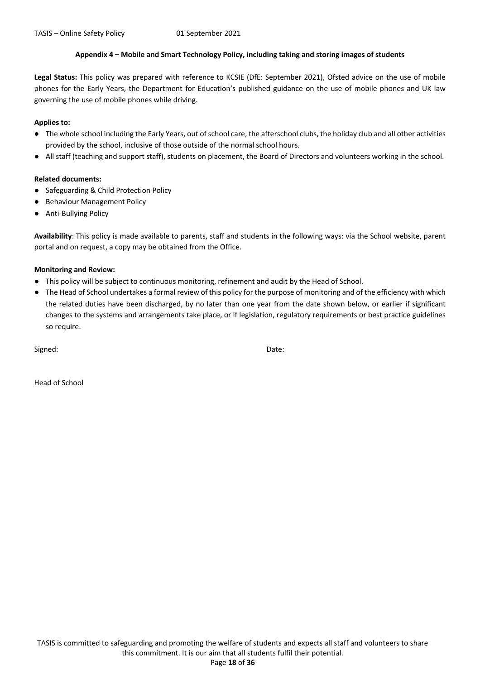#### **Appendix 4 – Mobile and Smart Technology Policy, including taking and storing images of students**

**Legal Status:** This policy was prepared with reference to KCSIE (DfE: September 2021), Ofsted advice on the use of mobile phones for the Early Years, the Department for Education's published guidance on the use of mobile phones and UK law governing the use of mobile phones while driving.

#### **Applies to:**

- The whole school including the Early Years, out of school care, the afterschool clubs, the holiday club and all other activities provided by the school, inclusive of those outside of the normal school hours.
- All staff (teaching and support staff), students on placement, the Board of Directors and volunteers working in the school.

#### **Related documents:**

- Safeguarding & Child Protection Policy
- Behaviour Management Policy
- Anti-Bullying Policy

**Availability**: This policy is made available to parents, staff and students in the following ways: via the School website, parent portal and on request, a copy may be obtained from the Office.

#### **Monitoring and Review:**

- This policy will be subject to continuous monitoring, refinement and audit by the Head of School.
- The Head of School undertakes a formal review of this policy for the purpose of monitoring and of the efficiency with which the related duties have been discharged, by no later than one year from the date shown below, or earlier if significant changes to the systems and arrangements take place, or if legislation, regulatory requirements or best practice guidelines so require.

Signed: Date:

Head of School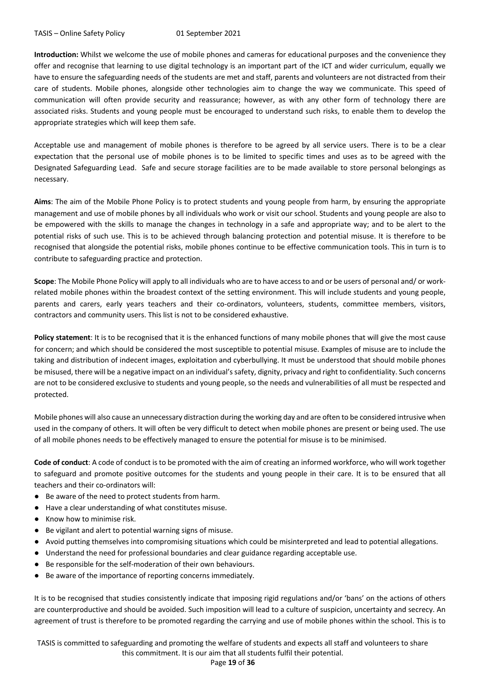**Introduction:** Whilst we welcome the use of mobile phones and cameras for educational purposes and the convenience they offer and recognise that learning to use digital technology is an important part of the ICT and wider curriculum, equally we have to ensure the safeguarding needs of the students are met and staff, parents and volunteers are not distracted from their care of students. Mobile phones, alongside other technologies aim to change the way we communicate. This speed of communication will often provide security and reassurance; however, as with any other form of technology there are associated risks. Students and young people must be encouraged to understand such risks, to enable them to develop the appropriate strategies which will keep them safe.

Acceptable use and management of mobile phones is therefore to be agreed by all service users. There is to be a clear expectation that the personal use of mobile phones is to be limited to specific times and uses as to be agreed with the Designated Safeguarding Lead. Safe and secure storage facilities are to be made available to store personal belongings as necessary.

**Aims**: The aim of the Mobile Phone Policy is to protect students and young people from harm, by ensuring the appropriate management and use of mobile phones by all individuals who work or visit our school. Students and young people are also to be empowered with the skills to manage the changes in technology in a safe and appropriate way; and to be alert to the potential risks of such use. This is to be achieved through balancing protection and potential misuse. It is therefore to be recognised that alongside the potential risks, mobile phones continue to be effective communication tools. This in turn is to contribute to safeguarding practice and protection.

**Scope**: The Mobile Phone Policy will apply to all individuals who are to have access to and or be users of personal and/ or workrelated mobile phones within the broadest context of the setting environment. This will include students and young people, parents and carers, early years teachers and their co-ordinators, volunteers, students, committee members, visitors, contractors and community users. This list is not to be considered exhaustive.

**Policy statement**: It is to be recognised that it is the enhanced functions of many mobile phones that will give the most cause for concern; and which should be considered the most susceptible to potential misuse. Examples of misuse are to include the taking and distribution of indecent images, exploitation and cyberbullying. It must be understood that should mobile phones be misused, there will be a negative impact on an individual's safety, dignity, privacy and right to confidentiality. Such concerns are not to be considered exclusive to students and young people, so the needs and vulnerabilities of all must be respected and protected.

Mobile phones will also cause an unnecessary distraction during the working day and are often to be considered intrusive when used in the company of others. It will often be very difficult to detect when mobile phones are present or being used. The use of all mobile phones needs to be effectively managed to ensure the potential for misuse is to be minimised.

**Code of conduct**: A code of conduct is to be promoted with the aim of creating an informed workforce, who will work together to safeguard and promote positive outcomes for the students and young people in their care. It is to be ensured that all teachers and their co-ordinators will:

- Be aware of the need to protect students from harm.
- Have a clear understanding of what constitutes misuse.
- Know how to minimise risk.
- Be vigilant and alert to potential warning signs of misuse.
- Avoid putting themselves into compromising situations which could be misinterpreted and lead to potential allegations.
- Understand the need for professional boundaries and clear guidance regarding acceptable use.
- Be responsible for the self-moderation of their own behaviours.
- Be aware of the importance of reporting concerns immediately.

It is to be recognised that studies consistently indicate that imposing rigid regulations and/or 'bans' on the actions of others are counterproductive and should be avoided. Such imposition will lead to a culture of suspicion, uncertainty and secrecy. An agreement of trust is therefore to be promoted regarding the carrying and use of mobile phones within the school. This is to

TASIS is committed to safeguarding and promoting the welfare of students and expects all staff and volunteers to share this commitment. It is our aim that all students fulfil their potential.

Page **19** of **36**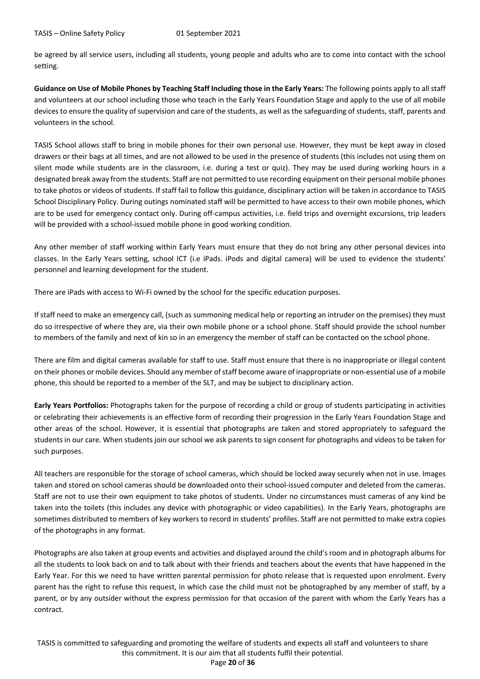be agreed by all service users, including all students, young people and adults who are to come into contact with the school setting.

**Guidance on Use of Mobile Phones by Teaching Staff Including those in the Early Years:** The following points apply to all staff and volunteers at our school including those who teach in the Early Years Foundation Stage and apply to the use of all mobile devices to ensure the quality of supervision and care of the students, as well as the safeguarding of students, staff, parents and volunteers in the school.

TASIS School allows staff to bring in mobile phones for their own personal use. However, they must be kept away in closed drawers or their bags at all times, and are not allowed to be used in the presence of students (this includes not using them on silent mode while students are in the classroom, i.e. during a test or quiz). They may be used during working hours in a designated break away from the students. Staff are not permitted to use recording equipment on their personal mobile phones to take photos or videos of students. If staff fail to follow this guidance, disciplinary action will be taken in accordance to TASIS School Disciplinary Policy. During outings nominated staff will be permitted to have access to their own mobile phones, which are to be used for emergency contact only. During off-campus activities, i.e. field trips and overnight excursions, trip leaders will be provided with a school-issued mobile phone in good working condition.

Any other member of staff working within Early Years must ensure that they do not bring any other personal devices into classes. In the Early Years setting, school ICT (i.e iPads. iPods and digital camera) will be used to evidence the students' personnel and learning development for the student.

There are iPads with access to Wi-Fi owned by the school for the specific education purposes.

If staff need to make an emergency call, (such as summoning medical help or reporting an intruder on the premises) they must do so irrespective of where they are, via their own mobile phone or a school phone. Staff should provide the school number to members of the family and next of kin so in an emergency the member of staff can be contacted on the school phone.

There are film and digital cameras available for staff to use. Staff must ensure that there is no inappropriate or illegal content on their phones or mobile devices. Should any member of staff become aware of inappropriate or non-essential use of a mobile phone, this should be reported to a member of the SLT, and may be subject to disciplinary action.

**Early Years Portfolios:** Photographs taken for the purpose of recording a child or group of students participating in activities or celebrating their achievements is an effective form of recording their progression in the Early Years Foundation Stage and other areas of the school. However, it is essential that photographs are taken and stored appropriately to safeguard the students in our care. When students join our school we ask parents to sign consent for photographs and videos to be taken for such purposes.

All teachers are responsible for the storage of school cameras, which should be locked away securely when not in use. Images taken and stored on school cameras should be downloaded onto their school-issued computer and deleted from the cameras. Staff are not to use their own equipment to take photos of students. Under no circumstances must cameras of any kind be taken into the toilets (this includes any device with photographic or video capabilities). In the Early Years, photographs are sometimes distributed to members of key workers to record in students' profiles. Staff are not permitted to make extra copies of the photographs in any format.

Photographs are also taken at group events and activities and displayed around the child's room and in photograph albums for all the students to look back on and to talk about with their friends and teachers about the events that have happened in the Early Year. For this we need to have written parental permission for photo release that is requested upon enrolment. Every parent has the right to refuse this request, in which case the child must not be photographed by any member of staff, by a parent, or by any outsider without the express permission for that occasion of the parent with whom the Early Years has a contract.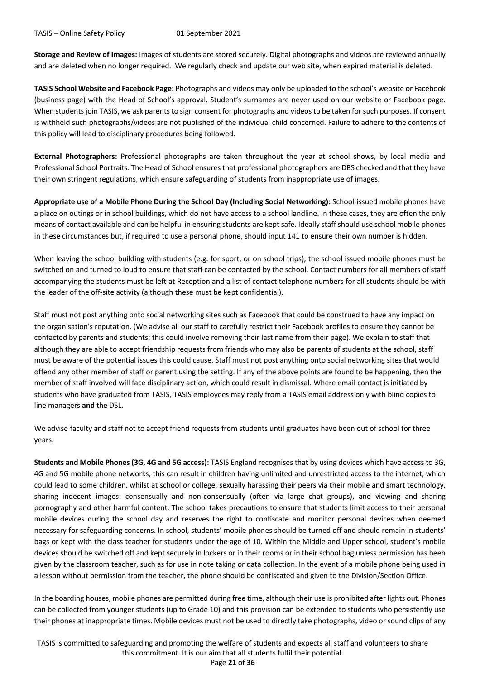**Storage and Review of Images:** Images of students are stored securely. Digital photographs and videos are reviewed annually and are deleted when no longer required. We regularly check and update our web site, when expired material is deleted.

**TASIS School Website and Facebook Page:** Photographs and videos may only be uploaded to the school's website or Facebook (business page) with the Head of School's approval. Student's surnames are never used on our website or Facebook page. When students join TASIS, we ask parents to sign consent for photographs and videos to be taken for such purposes. If consent is withheld such photographs/videos are not published of the individual child concerned. Failure to adhere to the contents of this policy will lead to disciplinary procedures being followed.

**External Photographers:** Professional photographs are taken throughout the year at school shows, by local media and Professional School Portraits. The Head of School ensures that professional photographers are DBS checked and that they have their own stringent regulations, which ensure safeguarding of students from inappropriate use of images.

**Appropriate use of a Mobile Phone During the School Day (Including Social Networking):** School-issued mobile phones have a place on outings or in school buildings, which do not have access to a school landline. In these cases, they are often the only means of contact available and can be helpful in ensuring students are kept safe. Ideally staff should use school mobile phones in these circumstances but, if required to use a personal phone, should input 141 to ensure their own number is hidden.

When leaving the school building with students (e.g. for sport, or on school trips), the school issued mobile phones must be switched on and turned to loud to ensure that staff can be contacted by the school. Contact numbers for all members of staff accompanying the students must be left at Reception and a list of contact telephone numbers for all students should be with the leader of the off-site activity (although these must be kept confidential).

Staff must not post anything onto social networking sites such as Facebook that could be construed to have any impact on the organisation's reputation. (We advise all our staff to carefully restrict their Facebook profiles to ensure they cannot be contacted by parents and students; this could involve removing their last name from their page). We explain to staff that although they are able to accept friendship requests from friends who may also be parents of students at the school, staff must be aware of the potential issues this could cause. Staff must not post anything onto social networking sites that would offend any other member of staff or parent using the setting. If any of the above points are found to be happening, then the member of staff involved will face disciplinary action, which could result in dismissal. Where email contact is initiated by students who have graduated from TASIS, TASIS employees may reply from a TASIS email address only with blind copies to line managers **and** the DSL.

We advise faculty and staff not to accept friend requests from students until graduates have been out of school for three years.

**Students and Mobile Phones (3G, 4G and 5G access):** TASIS England recognises that by using devices which have access to 3G, 4G and 5G mobile phone networks, this can result in children having unlimited and unrestricted access to the internet, which could lead to some children, whilst at school or college, sexually harassing their peers via their mobile and smart technology, sharing indecent images: consensually and non-consensually (often via large chat groups), and viewing and sharing pornography and other harmful content. The school takes precautions to ensure that students limit access to their personal mobile devices during the school day and reserves the right to confiscate and monitor personal devices when deemed necessary for safeguarding concerns. In school, students' mobile phones should be turned off and should remain in students' bags or kept with the class teacher for students under the age of 10. Within the Middle and Upper school, student's mobile devices should be switched off and kept securely in lockers or in their rooms or in their school bag unless permission has been given by the classroom teacher, such as for use in note taking or data collection. In the event of a mobile phone being used in a lesson without permission from the teacher, the phone should be confiscated and given to the Division/Section Office.

In the boarding houses, mobile phones are permitted during free time, although their use is prohibited after lights out. Phones can be collected from younger students (up to Grade 10) and this provision can be extended to students who persistently use their phones at inappropriate times. Mobile devices must not be used to directly take photographs, video or sound clips of any

TASIS is committed to safeguarding and promoting the welfare of students and expects all staff and volunteers to share this commitment. It is our aim that all students fulfil their potential.

Page **21** of **36**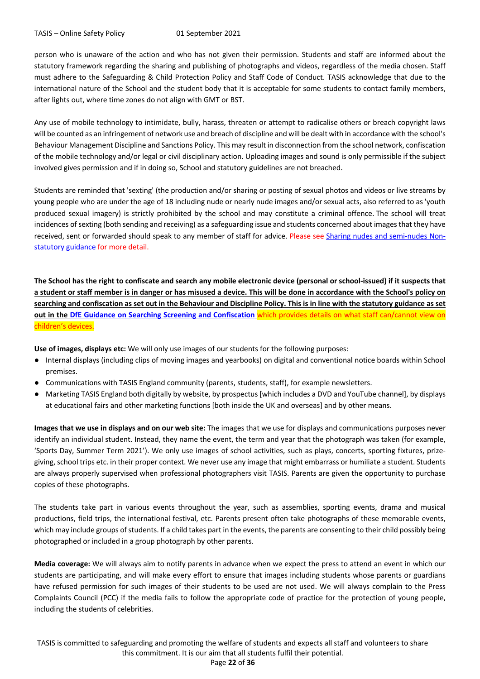person who is unaware of the action and who has not given their permission. Students and staff are informed about the statutory framework regarding the sharing and publishing of photographs and videos, regardless of the media chosen. Staff must adhere to the Safeguarding & Child Protection Policy and Staff Code of Conduct. TASIS acknowledge that due to the international nature of the School and the student body that it is acceptable for some students to contact family members, after lights out, where time zones do not align with GMT or BST.

Any use of mobile technology to intimidate, bully, harass, threaten or attempt to radicalise others or breach copyright laws will be counted as an infringement of network use and breach of discipline and will be dealt with in accordance with the school's Behaviour Management Discipline and Sanctions Policy. This may result in disconnection from the school network, confiscation of the mobile technology and/or legal or civil disciplinary action. Uploading images and sound is only permissible if the subject involved gives permission and if in doing so, School and statutory guidelines are not breached.

Students are reminded that 'sexting' (the production and/or sharing or posting of sexual photos and videos or live streams by young people who are under the age of 18 including nude or nearly nude images and/or sexual acts, also referred to as 'youth produced sexual imagery) is strictly prohibited by the school and may constitute a criminal offence. The school will treat incidences of sexting (both sending and receiving) as a safeguarding issue and students concerned about images that they have received, sent or forwarded should speak to any member of staff for advice. Please see Sharing nudes and semi-nudes Nonstatutory guidance for more detail.

**The School has the right to confiscate and search any mobile electronic device (personal or school-issued) if it suspects that a student or staff member is in danger or has misused a device. This will be done in accordance with the School's policy on searching and confiscation as set out in the Behaviour and Discipline Policy. This is in line with the statutory guidance as set out in the DfE Guidance on Searching Screening and Confiscation** which provides details on what staff can/cannot view on children's devices.

**Use of images, displays etc:** We will only use images of our students for the following purposes:

- Internal displays (including clips of moving images and yearbooks) on digital and conventional notice boards within School premises.
- Communications with TASIS England community (parents, students, staff), for example newsletters.
- Marketing TASIS England both digitally by website, by prospectus [which includes a DVD and YouTube channel], by displays at educational fairs and other marketing functions [both inside the UK and overseas] and by other means.

**Images that we use in displays and on our web site:** The images that we use for displays and communications purposes never identify an individual student. Instead, they name the event, the term and year that the photograph was taken (for example, 'Sports Day, Summer Term 2021'). We only use images of school activities, such as plays, concerts, sporting fixtures, prizegiving, school trips etc. in their proper context. We never use any image that might embarrass or humiliate a student. Students are always properly supervised when professional photographers visit TASIS. Parents are given the opportunity to purchase copies of these photographs.

The students take part in various events throughout the year, such as assemblies, sporting events, drama and musical productions, field trips, the international festival, etc. Parents present often take photographs of these memorable events, which may include groups of students. If a child takes part in the events, the parents are consenting to their child possibly being photographed or included in a group photograph by other parents.

**Media coverage:** We will always aim to notify parents in advance when we expect the press to attend an event in which our students are participating, and will make every effort to ensure that images including students whose parents or guardians have refused permission for such images of their students to be used are not used. We will always complain to the Press Complaints Council (PCC) if the media fails to follow the appropriate code of practice for the protection of young people, including the students of celebrities.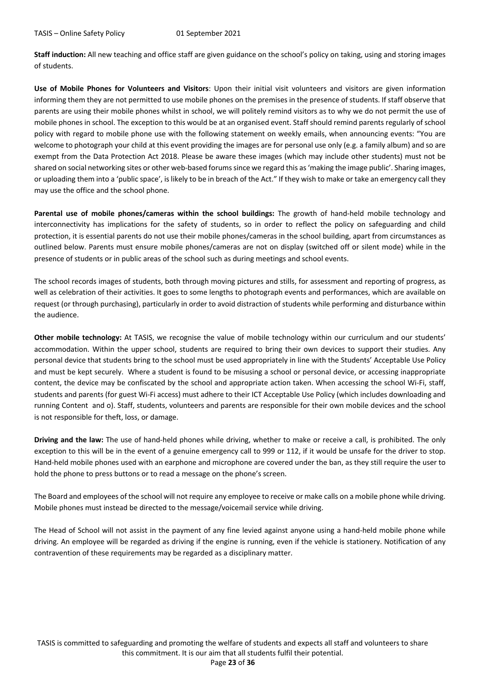**Staff induction:** All new teaching and office staff are given guidance on the school's policy on taking, using and storing images of students.

**Use of Mobile Phones for Volunteers and Visitors**: Upon their initial visit volunteers and visitors are given information informing them they are not permitted to use mobile phones on the premises in the presence of students. If staff observe that parents are using their mobile phones whilst in school, we will politely remind visitors as to why we do not permit the use of mobile phones in school. The exception to this would be at an organised event. Staff should remind parents regularly of school policy with regard to mobile phone use with the following statement on weekly emails, when announcing events: "You are welcome to photograph your child at this event providing the images are for personal use only (e.g. a family album) and so are exempt from the Data Protection Act 2018. Please be aware these images (which may include other students) must not be shared on social networking sites or other web-based forums since we regard this as 'making the image public'. Sharing images, or uploading them into a 'public space', is likely to be in breach of the Act." If they wish to make or take an emergency call they may use the office and the school phone.

**Parental use of mobile phones/cameras within the school buildings:** The growth of hand-held mobile technology and interconnectivity has implications for the safety of students, so in order to reflect the policy on safeguarding and child protection, it is essential parents do not use their mobile phones/cameras in the school building, apart from circumstances as outlined below. Parents must ensure mobile phones/cameras are not on display (switched off or silent mode) while in the presence of students or in public areas of the school such as during meetings and school events.

The school records images of students, both through moving pictures and stills, for assessment and reporting of progress, as well as celebration of their activities. It goes to some lengths to photograph events and performances, which are available on request (or through purchasing), particularly in order to avoid distraction of students while performing and disturbance within the audience.

**Other mobile technology:** At TASIS, we recognise the value of mobile technology within our curriculum and our students' accommodation. Within the upper school, students are required to bring their own devices to support their studies. Any personal device that students bring to the school must be used appropriately in line with the Students' Acceptable Use Policy and must be kept securely. Where a student is found to be misusing a school or personal device, or accessing inappropriate content, the device may be confiscated by the school and appropriate action taken. When accessing the school Wi-Fi, staff, students and parents (for guest Wi-Fi access) must adhere to their ICT Acceptable Use Policy (which includes downloading and running Content and o). Staff, students, volunteers and parents are responsible for their own mobile devices and the school is not responsible for theft, loss, or damage.

**Driving and the law:** The use of hand-held phones while driving, whether to make or receive a call, is prohibited. The only exception to this will be in the event of a genuine emergency call to 999 or 112, if it would be unsafe for the driver to stop. Hand-held mobile phones used with an earphone and microphone are covered under the ban, as they still require the user to hold the phone to press buttons or to read a message on the phone's screen.

The Board and employees of the school will not require any employee to receive or make calls on a mobile phone while driving. Mobile phones must instead be directed to the message/voicemail service while driving.

The Head of School will not assist in the payment of any fine levied against anyone using a hand-held mobile phone while driving. An employee will be regarded as driving if the engine is running, even if the vehicle is stationery. Notification of any contravention of these requirements may be regarded as a disciplinary matter.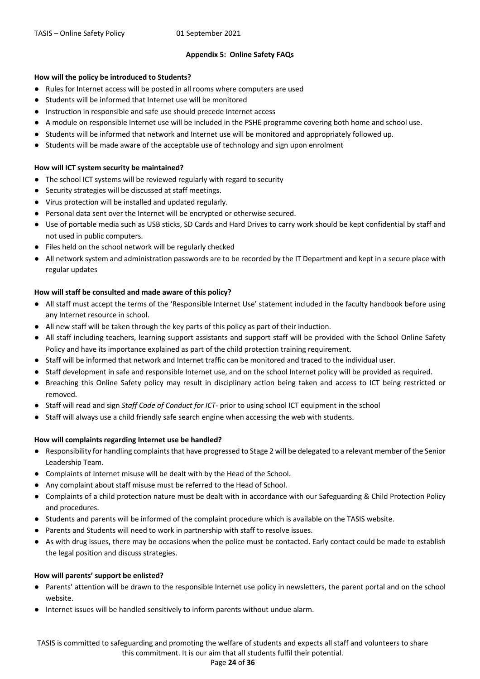#### **Appendix 5: Online Safety FAQs**

#### **How will the policy be introduced to Students?**

- Rules for Internet access will be posted in all rooms where computers are used
- Students will be informed that Internet use will be monitored
- Instruction in responsible and safe use should precede Internet access
- A module on responsible Internet use will be included in the PSHE programme covering both home and school use.
- Students will be informed that network and Internet use will be monitored and appropriately followed up.
- Students will be made aware of the acceptable use of technology and sign upon enrolment

#### **How will ICT system security be maintained?**

- The school ICT systems will be reviewed regularly with regard to security
- Security strategies will be discussed at staff meetings.
- Virus protection will be installed and updated regularly.
- Personal data sent over the Internet will be encrypted or otherwise secured.
- Use of portable media such as USB sticks, SD Cards and Hard Drives to carry work should be kept confidential by staff and not used in public computers.
- Files held on the school network will be regularly checked
- All network system and administration passwords are to be recorded by the IT Department and kept in a secure place with regular updates

#### **How will staff be consulted and made aware of this policy?**

- All staff must accept the terms of the 'Responsible Internet Use' statement included in the faculty handbook before using any Internet resource in school.
- All new staff will be taken through the key parts of this policy as part of their induction.
- All staff including teachers, learning support assistants and support staff will be provided with the School Online Safety Policy and have its importance explained as part of the child protection training requirement.
- Staff will be informed that network and Internet traffic can be monitored and traced to the individual user.
- Staff development in safe and responsible Internet use, and on the school Internet policy will be provided as required.
- Breaching this Online Safety policy may result in disciplinary action being taken and access to ICT being restricted or removed.
- Staff will read and sign *Staff Code of Conduct for ICT-* prior to using school ICT equipment in the school
- Staff will always use a child friendly safe search engine when accessing the web with students.

#### **How will complaints regarding Internet use be handled?**

- Responsibility for handling complaints that have progressed to Stage 2 will be delegated to a relevant member of the Senior Leadership Team.
- Complaints of Internet misuse will be dealt with by the Head of the School.
- Any complaint about staff misuse must be referred to the Head of School.
- Complaints of a child protection nature must be dealt with in accordance with our Safeguarding & Child Protection Policy and procedures.
- Students and parents will be informed of the complaint procedure which is available on the TASIS website.
- Parents and Students will need to work in partnership with staff to resolve issues.
- As with drug issues, there may be occasions when the police must be contacted. Early contact could be made to establish the legal position and discuss strategies.

#### **How will parents' support be enlisted?**

- Parents' attention will be drawn to the responsible Internet use policy in newsletters, the parent portal and on the school website.
- Internet issues will be handled sensitively to inform parents without undue alarm.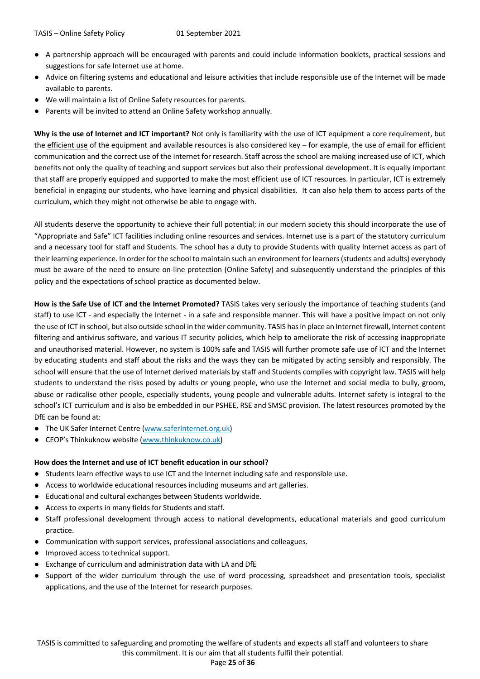- A partnership approach will be encouraged with parents and could include information booklets, practical sessions and suggestions for safe Internet use at home.
- Advice on filtering systems and educational and leisure activities that include responsible use of the Internet will be made available to parents.
- We will maintain a list of Online Safety resources for parents.
- Parents will be invited to attend an Online Safety workshop annually.

**Why is the use of Internet and ICT important?** Not only is familiarity with the use of ICT equipment a core requirement, but the efficient use of the equipment and available resources is also considered key – for example, the use of email for efficient communication and the correct use of the Internet for research. Staff across the school are making increased use of ICT, which benefits not only the quality of teaching and support services but also their professional development. It is equally important that staff are properly equipped and supported to make the most efficient use of ICT resources. In particular, ICT is extremely beneficial in engaging our students, who have learning and physical disabilities. It can also help them to access parts of the curriculum, which they might not otherwise be able to engage with.

All students deserve the opportunity to achieve their full potential; in our modern society this should incorporate the use of "Appropriate and Safe" ICT facilities including online resources and services. Internet use is a part of the statutory curriculum and a necessary tool for staff and Students. The school has a duty to provide Students with quality Internet access as part of their learning experience. In order for the school to maintain such an environment for learners (students and adults) everybody must be aware of the need to ensure on-line protection (Online Safety) and subsequently understand the principles of this policy and the expectations of school practice as documented below.

**How is the Safe Use of ICT and the Internet Promoted?** TASIS takes very seriously the importance of teaching students (and staff) to use ICT - and especially the Internet - in a safe and responsible manner. This will have a positive impact on not only the use of ICT in school, but also outside school in the wider community. TASIS has in place an Internet firewall, Internet content filtering and antivirus software, and various IT security policies, which help to ameliorate the risk of accessing inappropriate and unauthorised material. However, no system is 100% safe and TASIS will further promote safe use of ICT and the Internet by educating students and staff about the risks and the ways they can be mitigated by acting sensibly and responsibly. The school will ensure that the use of Internet derived materials by staff and Students complies with copyright law. TASIS will help students to understand the risks posed by adults or young people, who use the Internet and social media to bully, groom, abuse or radicalise other people, especially students, young people and vulnerable adults. Internet safety is integral to the school's ICT curriculum and is also be embedded in our PSHEE, RSE and SMSC provision. The latest resources promoted by the DfE can be found at:

- The UK Safer Internet Centre (www.saferInternet.org.uk)
- CEOP's Thinkuknow website (www.thinkuknow.co.uk)

#### **How does the Internet and use of ICT benefit education in our school?**

- Students learn effective ways to use ICT and the Internet including safe and responsible use.
- Access to worldwide educational resources including museums and art galleries.
- Educational and cultural exchanges between Students worldwide.
- Access to experts in many fields for Students and staff.
- Staff professional development through access to national developments, educational materials and good curriculum practice.
- Communication with support services, professional associations and colleagues.
- Improved access to technical support.
- Exchange of curriculum and administration data with LA and DfE
- Support of the wider curriculum through the use of word processing, spreadsheet and presentation tools, specialist applications, and the use of the Internet for research purposes.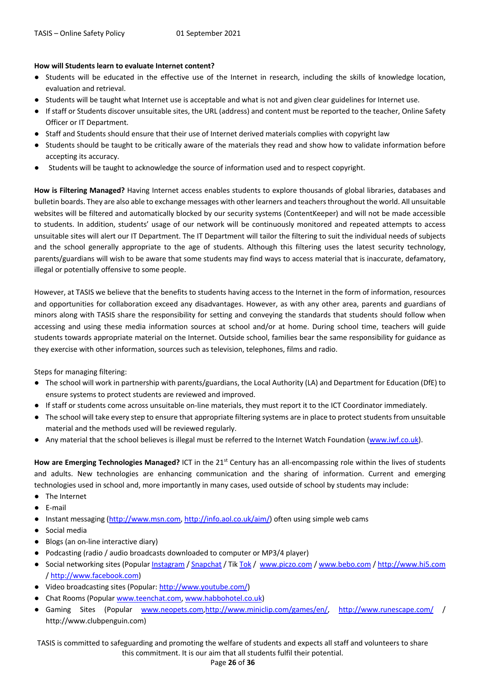#### **How will Students learn to evaluate Internet content?**

- Students will be educated in the effective use of the Internet in research, including the skills of knowledge location, evaluation and retrieval.
- Students will be taught what Internet use is acceptable and what is not and given clear guidelines for Internet use.
- If staff or Students discover unsuitable sites, the URL (address) and content must be reported to the teacher, Online Safety Officer or IT Department.
- Staff and Students should ensure that their use of Internet derived materials complies with copyright law
- Students should be taught to be critically aware of the materials they read and show how to validate information before accepting its accuracy.
- Students will be taught to acknowledge the source of information used and to respect copyright.

**How is Filtering Managed?** Having Internet access enables students to explore thousands of global libraries, databases and bulletin boards. They are also able to exchange messages with other learners and teachers throughout the world. All unsuitable websites will be filtered and automatically blocked by our security systems (ContentKeeper) and will not be made accessible to students. In addition, students' usage of our network will be continuously monitored and repeated attempts to access unsuitable sites will alert our IT Department. The IT Department will tailor the filtering to suit the individual needs of subjects and the school generally appropriate to the age of students. Although this filtering uses the latest security technology, parents/guardians will wish to be aware that some students may find ways to access material that is inaccurate, defamatory, illegal or potentially offensive to some people.

However, at TASIS we believe that the benefits to students having access to the Internet in the form of information, resources and opportunities for collaboration exceed any disadvantages. However, as with any other area, parents and guardians of minors along with TASIS share the responsibility for setting and conveying the standards that students should follow when accessing and using these media information sources at school and/or at home. During school time, teachers will guide students towards appropriate material on the Internet. Outside school, families bear the same responsibility for guidance as they exercise with other information, sources such as television, telephones, films and radio.

Steps for managing filtering:

- The school will work in partnership with parents/guardians, the Local Authority (LA) and Department for Education (DfE) to ensure systems to protect students are reviewed and improved.
- If staff or students come across unsuitable on-line materials, they must report it to the ICT Coordinator immediately.
- The school will take every step to ensure that appropriate filtering systems are in place to protect students from unsuitable material and the methods used will be reviewed regularly.
- Any material that the school believes is illegal must be referred to the Internet Watch Foundation (www.iwf.co.uk).

How are Emerging Technologies Managed? ICT in the 21<sup>st</sup> Century has an all-encompassing role within the lives of students and adults. New technologies are enhancing communication and the sharing of information. Current and emerging technologies used in school and, more importantly in many cases, used outside of school by students may include:

- The Internet
- E-mail
- Instant messaging (http://www.msn.com, http://info.aol.co.uk/aim/) often using simple web cams
- Social media
- Blogs (an on-line interactive diary)
- Podcasting (radio / audio broadcasts downloaded to computer or MP3/4 player)
- Social networking sites (Popular Instagram / Snapchat / Tik Tok / www.piczo.com / www.bebo.com / http://www.hi5.com / http://www.facebook.com)
- Video broadcasting sites (Popular: http://www.youtube.com/)
- Chat Rooms (Popular www.teenchat.com, www.habbohotel.co.uk)
- Gaming Sites (Popular www.neopets.com,http://www.miniclip.com/games/en/, http://www.runescape.com/ / http://www.clubpenguin.com)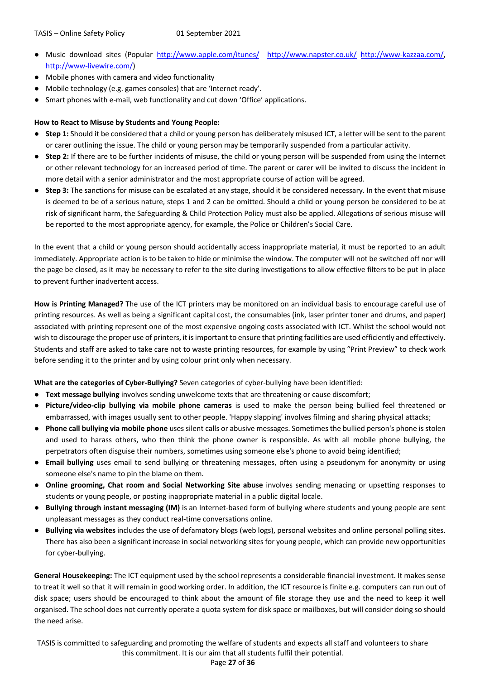- Music download sites (Popular http://www.apple.com/itunes/ http://www.napster.co.uk/ http://www-kazzaa.com/, http://www-livewire.com/)
- Mobile phones with camera and video functionality
- Mobile technology (e.g. games consoles) that are 'Internet ready'.
- Smart phones with e-mail, web functionality and cut down 'Office' applications.

#### **How to React to Misuse by Students and Young People:**

- **Step 1:** Should it be considered that a child or young person has deliberately misused ICT, a letter will be sent to the parent or carer outlining the issue. The child or young person may be temporarily suspended from a particular activity.
- **Step 2:** If there are to be further incidents of misuse, the child or young person will be suspended from using the Internet or other relevant technology for an increased period of time. The parent or carer will be invited to discuss the incident in more detail with a senior administrator and the most appropriate course of action will be agreed.
- **Step 3:** The sanctions for misuse can be escalated at any stage, should it be considered necessary. In the event that misuse is deemed to be of a serious nature, steps 1 and 2 can be omitted. Should a child or young person be considered to be at risk of significant harm, the Safeguarding & Child Protection Policy must also be applied. Allegations of serious misuse will be reported to the most appropriate agency, for example, the Police or Children's Social Care.

In the event that a child or young person should accidentally access inappropriate material, it must be reported to an adult immediately. Appropriate action is to be taken to hide or minimise the window. The computer will not be switched off nor will the page be closed, as it may be necessary to refer to the site during investigations to allow effective filters to be put in place to prevent further inadvertent access.

**How is Printing Managed?** The use of the ICT printers may be monitored on an individual basis to encourage careful use of printing resources. As well as being a significant capital cost, the consumables (ink, laser printer toner and drums, and paper) associated with printing represent one of the most expensive ongoing costs associated with ICT. Whilst the school would not wish to discourage the proper use of printers, it is important to ensure that printing facilities are used efficiently and effectively. Students and staff are asked to take care not to waste printing resources, for example by using "Print Preview" to check work before sending it to the printer and by using colour print only when necessary.

**What are the categories of Cyber-Bullying?** Seven categories of cyber-bullying have been identified:

- **Text message bullying** involves sending unwelcome texts that are threatening or cause discomfort;
- **Picture/video-clip bullying via mobile phone cameras** is used to make the person being bullied feel threatened or embarrassed, with images usually sent to other people. 'Happy slapping' involves filming and sharing physical attacks;
- **Phone call bullying via mobile phone** uses silent calls or abusive messages. Sometimes the bullied person's phone is stolen and used to harass others, who then think the phone owner is responsible. As with all mobile phone bullying, the perpetrators often disguise their numbers, sometimes using someone else's phone to avoid being identified;
- **Email bullying** uses email to send bullying or threatening messages, often using a pseudonym for anonymity or using someone else's name to pin the blame on them.
- **Online grooming, Chat room and Social Networking Site abuse** involves sending menacing or upsetting responses to students or young people, or posting inappropriate material in a public digital locale.
- **Bullying through instant messaging (IM)** is an Internet-based form of bullying where students and young people are sent unpleasant messages as they conduct real-time conversations online.
- **Bullying via websites** includes the use of defamatory blogs (web logs), personal websites and online personal polling sites. There has also been a significant increase in social networking sites for young people, which can provide new opportunities for cyber-bullying.

**General Housekeeping:** The ICT equipment used by the school represents a considerable financial investment. It makes sense to treat it well so that it will remain in good working order. In addition, the ICT resource is finite e.g. computers can run out of disk space; users should be encouraged to think about the amount of file storage they use and the need to keep it well organised. The school does not currently operate a quota system for disk space or mailboxes, but will consider doing so should the need arise.

TASIS is committed to safeguarding and promoting the welfare of students and expects all staff and volunteers to share this commitment. It is our aim that all students fulfil their potential.

#### Page **27** of **36**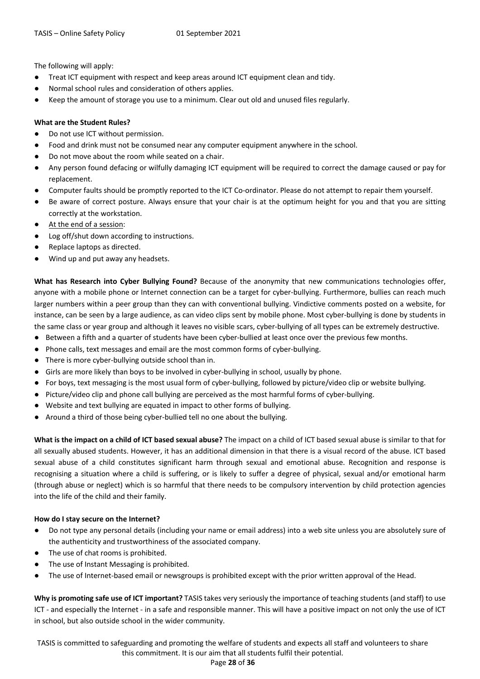The following will apply:

- Treat ICT equipment with respect and keep areas around ICT equipment clean and tidy.
- Normal school rules and consideration of others applies.
- Keep the amount of storage you use to a minimum. Clear out old and unused files regularly.

#### **What are the Student Rules?**

- Do not use ICT without permission.
- Food and drink must not be consumed near any computer equipment anywhere in the school.
- Do not move about the room while seated on a chair.
- Any person found defacing or wilfully damaging ICT equipment will be required to correct the damage caused or pay for replacement.
- Computer faults should be promptly reported to the ICT Co-ordinator. Please do not attempt to repair them yourself.
- Be aware of correct posture. Always ensure that your chair is at the optimum height for you and that you are sitting correctly at the workstation.
- At the end of a session:
- Log off/shut down according to instructions.
- Replace laptops as directed.
- Wind up and put away any headsets.

**What has Research into Cyber Bullying Found?** Because of the anonymity that new communications technologies offer, anyone with a mobile phone or Internet connection can be a target for cyber-bullying. Furthermore, bullies can reach much larger numbers within a peer group than they can with conventional bullying. Vindictive comments posted on a website, for instance, can be seen by a large audience, as can video clips sent by mobile phone. Most cyber-bullying is done by students in the same class or year group and although it leaves no visible scars, cyber-bullying of all types can be extremely destructive.

- Between a fifth and a quarter of students have been cyber-bullied at least once over the previous few months.
- Phone calls, text messages and email are the most common forms of cyber-bullying.
- There is more cyber-bullying outside school than in.
- Girls are more likely than boys to be involved in cyber-bullying in school, usually by phone.
- For boys, text messaging is the most usual form of cyber-bullying, followed by picture/video clip or website bullying.
- Picture/video clip and phone call bullying are perceived as the most harmful forms of cyber-bullying.
- Website and text bullying are equated in impact to other forms of bullying.
- Around a third of those being cyber-bullied tell no one about the bullying.

**What is the impact on a child of ICT based sexual abuse?** The impact on a child of ICT based sexual abuse is similar to that for all sexually abused students. However, it has an additional dimension in that there is a visual record of the abuse. ICT based sexual abuse of a child constitutes significant harm through sexual and emotional abuse. Recognition and response is recognising a situation where a child is suffering, or is likely to suffer a degree of physical, sexual and/or emotional harm (through abuse or neglect) which is so harmful that there needs to be compulsory intervention by child protection agencies into the life of the child and their family.

#### **How do I stay secure on the Internet?**

- Do not type any personal details (including your name or email address) into a web site unless you are absolutely sure of the authenticity and trustworthiness of the associated company.
- The use of chat rooms is prohibited.
- The use of Instant Messaging is prohibited.
- The use of Internet-based email or newsgroups is prohibited except with the prior written approval of the Head.

**Why is promoting safe use of ICT important?** TASIS takes very seriously the importance of teaching students (and staff) to use ICT - and especially the Internet - in a safe and responsible manner. This will have a positive impact on not only the use of ICT in school, but also outside school in the wider community.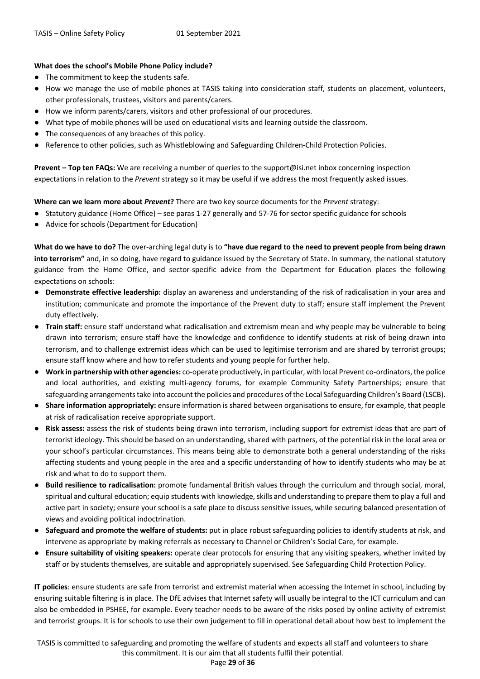#### **What does the school's Mobile Phone Policy include?**

- The commitment to keep the students safe.
- How we manage the use of mobile phones at TASIS taking into consideration staff, students on placement, volunteers, other professionals, trustees, visitors and parents/carers.
- How we inform parents/carers, visitors and other professional of our procedures.
- What type of mobile phones will be used on educational visits and learning outside the classroom.
- The consequences of any breaches of this policy.
- Reference to other policies, such as Whistleblowing and Safeguarding Children-Child Protection Policies.

**Prevent – Top ten FAQs:** We are receiving a number of queries to the support@isi.net inbox concerning inspection expectations in relation to the *Prevent* strategy so it may be useful if we address the most frequently asked issues.

**Where can we learn more about** *Prevent***?** There are two key source documents for the *Prevent* strategy:

- Statutory guidance (Home Office) see paras 1-27 generally and 57-76 for sector specific guidance for schools
- Advice for schools (Department for Education)

**What do we have to do?** The over-arching legal duty is to **"have due regard to the need to prevent people from being drawn into terrorism"** and, in so doing, have regard to guidance issued by the Secretary of State. In summary, the national statutory guidance from the Home Office, and sector-specific advice from the Department for Education places the following expectations on schools:

- **Demonstrate effective leadership:** display an awareness and understanding of the risk of radicalisation in your area and institution; communicate and promote the importance of the Prevent duty to staff; ensure staff implement the Prevent duty effectively.
- **Train staff:** ensure staff understand what radicalisation and extremism mean and why people may be vulnerable to being drawn into terrorism; ensure staff have the knowledge and confidence to identify students at risk of being drawn into terrorism, and to challenge extremist ideas which can be used to legitimise terrorism and are shared by terrorist groups; ensure staff know where and how to refer students and young people for further help.
- **Work in partnership with other agencies:** co-operate productively, in particular, with local Prevent co-ordinators, the police and local authorities, and existing multi-agency forums, for example Community Safety Partnerships; ensure that safeguarding arrangements take into account the policies and procedures of the Local Safeguarding Children's Board (LSCB).
- **Share information appropriately:** ensure information is shared between organisations to ensure, for example, that people at risk of radicalisation receive appropriate support.
- **Risk assess:** assess the risk of students being drawn into terrorism, including support for extremist ideas that are part of terrorist ideology. This should be based on an understanding, shared with partners, of the potential risk in the local area or your school's particular circumstances. This means being able to demonstrate both a general understanding of the risks affecting students and young people in the area and a specific understanding of how to identify students who may be at risk and what to do to support them.
- **Build resilience to radicalisation:** promote fundamental British values through the curriculum and through social, moral, spiritual and cultural education; equip students with knowledge, skills and understanding to prepare them to play a full and active part in society; ensure your school is a safe place to discuss sensitive issues, while securing balanced presentation of views and avoiding political indoctrination.
- **Safeguard and promote the welfare of students:** put in place robust safeguarding policies to identify students at risk, and intervene as appropriate by making referrals as necessary to Channel or Children's Social Care, for example.
- **Ensure suitability of visiting speakers:** operate clear protocols for ensuring that any visiting speakers, whether invited by staff or by students themselves, are suitable and appropriately supervised. See Safeguarding Child Protection Policy.

**IT policies**: ensure students are safe from terrorist and extremist material when accessing the Internet in school, including by ensuring suitable filtering is in place. The DfE advises that Internet safety will usually be integral to the ICT curriculum and can also be embedded in PSHEE, for example. Every teacher needs to be aware of the risks posed by online activity of extremist and terrorist groups. It is for schools to use their own judgement to fill in operational detail about how best to implement the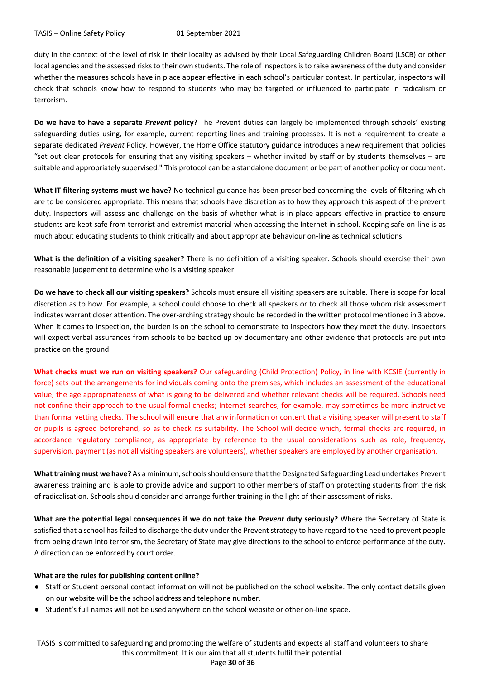duty in the context of the level of risk in their locality as advised by their Local Safeguarding Children Board (LSCB) or other local agencies and the assessed risks to their own students. The role of inspectors is to raise awareness of the duty and consider whether the measures schools have in place appear effective in each school's particular context. In particular, inspectors will check that schools know how to respond to students who may be targeted or influenced to participate in radicalism or terrorism.

**Do we have to have a separate** *Prevent* **policy?** The Prevent duties can largely be implemented through schools' existing safeguarding duties using, for example, current reporting lines and training processes. It is not a requirement to create a separate dedicated *Prevent* Policy. However, the Home Office statutory guidance introduces a new requirement that policies "set out clear protocols for ensuring that any visiting speakers – whether invited by staff or by students themselves – are suitable and appropriately supervised." This protocol can be a standalone document or be part of another policy or document.

**What IT filtering systems must we have?** No technical guidance has been prescribed concerning the levels of filtering which are to be considered appropriate. This means that schools have discretion as to how they approach this aspect of the prevent duty. Inspectors will assess and challenge on the basis of whether what is in place appears effective in practice to ensure students are kept safe from terrorist and extremist material when accessing the Internet in school. Keeping safe on-line is as much about educating students to think critically and about appropriate behaviour on-line as technical solutions.

**What is the definition of a visiting speaker?** There is no definition of a visiting speaker. Schools should exercise their own reasonable judgement to determine who is a visiting speaker.

**Do we have to check all our visiting speakers?** Schools must ensure all visiting speakers are suitable. There is scope for local discretion as to how. For example, a school could choose to check all speakers or to check all those whom risk assessment indicates warrant closer attention. The over-arching strategy should be recorded in the written protocol mentioned in 3 above. When it comes to inspection, the burden is on the school to demonstrate to inspectors how they meet the duty. Inspectors will expect verbal assurances from schools to be backed up by documentary and other evidence that protocols are put into practice on the ground.

**What checks must we run on visiting speakers?** Our safeguarding (Child Protection) Policy, in line with KCSIE (currently in force) sets out the arrangements for individuals coming onto the premises, which includes an assessment of the educational value, the age appropriateness of what is going to be delivered and whether relevant checks will be required. Schools need not confine their approach to the usual formal checks; Internet searches, for example, may sometimes be more instructive than formal vetting checks. The school will ensure that any information or content that a visiting speaker will present to staff or pupils is agreed beforehand, so as to check its suitability. The School will decide which, formal checks are required, in accordance regulatory compliance, as appropriate by reference to the usual considerations such as role, frequency, supervision, payment (as not all visiting speakers are volunteers), whether speakers are employed by another organisation.

**What training must we have?** As a minimum, schools should ensure that the Designated Safeguarding Lead undertakes Prevent awareness training and is able to provide advice and support to other members of staff on protecting students from the risk of radicalisation. Schools should consider and arrange further training in the light of their assessment of risks.

**What are the potential legal consequences if we do not take the** *Prevent* **duty seriously? Where the Secretary of State is** satisfied that a school has failed to discharge the duty under the Prevent strategy to have regard to the need to prevent people from being drawn into terrorism, the Secretary of State may give directions to the school to enforce performance of the duty. A direction can be enforced by court order.

#### **What are the rules for publishing content online?**

- Staff or Student personal contact information will not be published on the school website. The only contact details given on our website will be the school address and telephone number.
- Student's full names will not be used anywhere on the school website or other on-line space.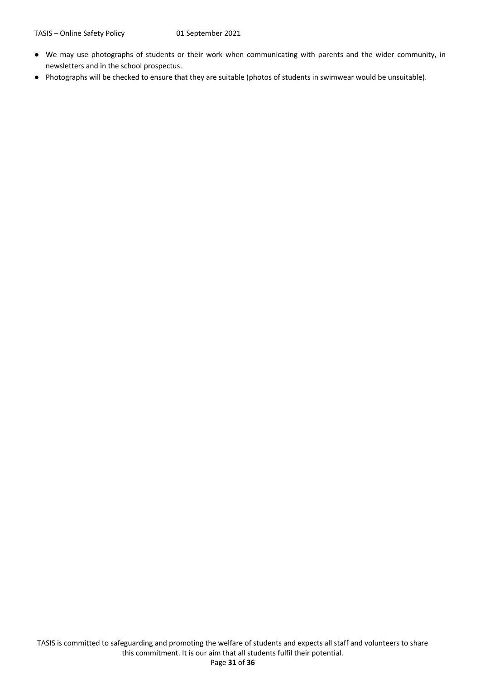- We may use photographs of students or their work when communicating with parents and the wider community, in newsletters and in the school prospectus.
- Photographs will be checked to ensure that they are suitable (photos of students in swimwear would be unsuitable).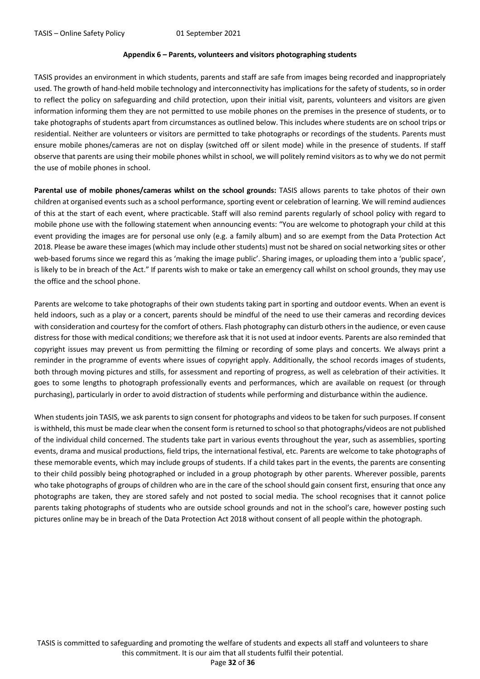#### **Appendix 6 – Parents, volunteers and visitors photographing students**

TASIS provides an environment in which students, parents and staff are safe from images being recorded and inappropriately used. The growth of hand-held mobile technology and interconnectivity has implications for the safety of students, so in order to reflect the policy on safeguarding and child protection, upon their initial visit, parents, volunteers and visitors are given information informing them they are not permitted to use mobile phones on the premises in the presence of students, or to take photographs of students apart from circumstances as outlined below. This includes where students are on school trips or residential. Neither are volunteers or visitors are permitted to take photographs or recordings of the students. Parents must ensure mobile phones/cameras are not on display (switched off or silent mode) while in the presence of students. If staff observe that parents are using their mobile phones whilst in school, we will politely remind visitors as to why we do not permit the use of mobile phones in school.

**Parental use of mobile phones/cameras whilst on the school grounds:** TASIS allows parents to take photos of their own children at organised events such as a school performance, sporting event or celebration of learning. We will remind audiences of this at the start of each event, where practicable. Staff will also remind parents regularly of school policy with regard to mobile phone use with the following statement when announcing events: "You are welcome to photograph your child at this event providing the images are for personal use only (e.g. a family album) and so are exempt from the Data Protection Act 2018. Please be aware these images (which may include other students) must not be shared on social networking sites or other web-based forums since we regard this as 'making the image public'. Sharing images, or uploading them into a 'public space', is likely to be in breach of the Act." If parents wish to make or take an emergency call whilst on school grounds, they may use the office and the school phone.

Parents are welcome to take photographs of their own students taking part in sporting and outdoor events. When an event is held indoors, such as a play or a concert, parents should be mindful of the need to use their cameras and recording devices with consideration and courtesy for the comfort of others. Flash photography can disturb others in the audience, or even cause distress for those with medical conditions; we therefore ask that it is not used at indoor events. Parents are also reminded that copyright issues may prevent us from permitting the filming or recording of some plays and concerts. We always print a reminder in the programme of events where issues of copyright apply. Additionally, the school records images of students, both through moving pictures and stills, for assessment and reporting of progress, as well as celebration of their activities. It goes to some lengths to photograph professionally events and performances, which are available on request (or through purchasing), particularly in order to avoid distraction of students while performing and disturbance within the audience.

When students join TASIS, we ask parents to sign consent for photographs and videos to be taken for such purposes. If consent is withheld, this must be made clear when the consent form is returned to school so that photographs/videos are not published of the individual child concerned. The students take part in various events throughout the year, such as assemblies, sporting events, drama and musical productions, field trips, the international festival, etc. Parents are welcome to take photographs of these memorable events, which may include groups of students. If a child takes part in the events, the parents are consenting to their child possibly being photographed or included in a group photograph by other parents. Wherever possible, parents who take photographs of groups of children who are in the care of the school should gain consent first, ensuring that once any photographs are taken, they are stored safely and not posted to social media. The school recognises that it cannot police parents taking photographs of students who are outside school grounds and not in the school's care, however posting such pictures online may be in breach of the Data Protection Act 2018 without consent of all people within the photograph.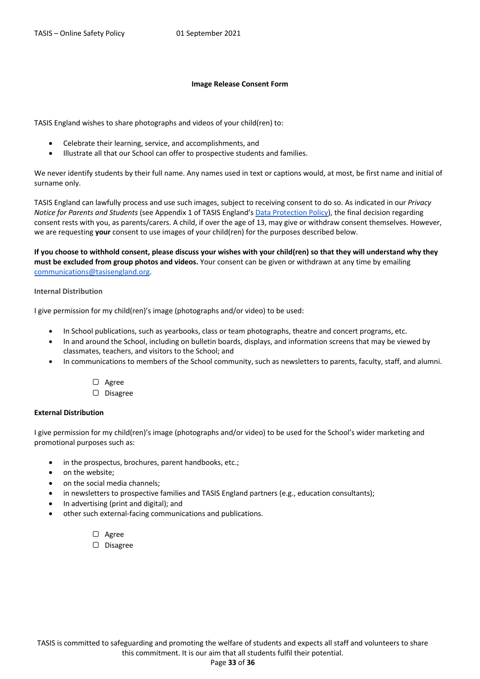#### **Image Release Consent Form**

TASIS England wishes to share photographs and videos of your child(ren) to:

- Celebrate their learning, service, and accomplishments, and
- Illustrate all that our School can offer to prospective students and families.

We never identify students by their full name. Any names used in text or captions would, at most, be first name and initial of surname only.

TASIS England can lawfully process and use such images, subject to receiving consent to do so. As indicated in our *Privacy Notice for Parents and Students* (see Appendix 1 of TASIS England's Data Protection Policy), the final decision regarding consent rests with you, as parents/carers. A child, if over the age of 13, may give or withdraw consent themselves. However, we are requesting **your** consent to use images of your child(ren) for the purposes described below.

**If you choose to withhold consent, please discuss your wishes with your child(ren) so that they will understand why they must be excluded from group photos and videos.** Your consent can be given or withdrawn at any time by emailing communications@tasisengland.org.

#### **Internal Distribution**

I give permission for my child(ren)'s image (photographs and/or video) to be used:

- In School publications, such as yearbooks, class or team photographs, theatre and concert programs, etc.
- In and around the School, including on bulletin boards, displays, and information screens that may be viewed by classmates, teachers, and visitors to the School; and
- In communications to members of the School community, such as newsletters to parents, faculty, staff, and alumni.
	- ▢ Agree ▢ Disagree

#### **External Distribution**

I give permission for my child(ren)'s image (photographs and/or video) to be used for the School's wider marketing and promotional purposes such as:

- in the prospectus, brochures, parent handbooks, etc.;
- on the website;
- on the social media channels;
- in newsletters to prospective families and TASIS England partners (e.g., education consultants);
- In advertising (print and digital); and
- other such external-facing communications and publications.
	- ▢ Agree
	- ▢ Disagree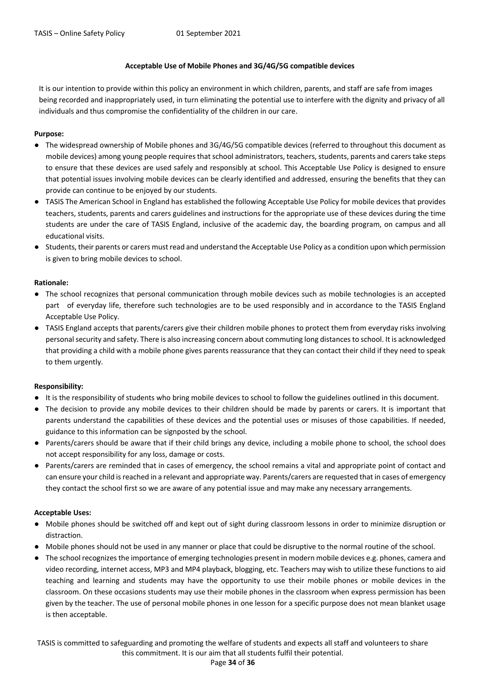#### **Acceptable Use of Mobile Phones and 3G/4G/5G compatible devices**

It is our intention to provide within this policy an environment in which children, parents, and staff are safe from images being recorded and inappropriately used, in turn eliminating the potential use to interfere with the dignity and privacy of all individuals and thus compromise the confidentiality of the children in our care.

#### **Purpose:**

- The widespread ownership of Mobile phones and 3G/4G/5G compatible devices (referred to throughout this document as mobile devices) among young people requires that school administrators, teachers, students, parents and carers take steps to ensure that these devices are used safely and responsibly at school. This Acceptable Use Policy is designed to ensure that potential issues involving mobile devices can be clearly identified and addressed, ensuring the benefits that they can provide can continue to be enjoyed by our students.
- TASIS The American School in England has established the following Acceptable Use Policy for mobile devices that provides teachers, students, parents and carers guidelines and instructions for the appropriate use of these devices during the time students are under the care of TASIS England, inclusive of the academic day, the boarding program, on campus and all educational visits.
- Students, their parents or carers must read and understand the Acceptable Use Policy as a condition upon which permission is given to bring mobile devices to school.

#### **Rationale:**

- The school recognizes that personal communication through mobile devices such as mobile technologies is an accepted part of everyday life, therefore such technologies are to be used responsibly and in accordance to the TASIS England Acceptable Use Policy.
- TASIS England accepts that parents/carers give their children mobile phones to protect them from everyday risks involving personal security and safety. There is also increasing concern about commuting long distances to school. It is acknowledged that providing a child with a mobile phone gives parents reassurance that they can contact their child if they need to speak to them urgently.

#### **Responsibility:**

- It is the responsibility of students who bring mobile devices to school to follow the guidelines outlined in this document.
- The decision to provide any mobile devices to their children should be made by parents or carers. It is important that parents understand the capabilities of these devices and the potential uses or misuses of those capabilities. If needed, guidance to this information can be signposted by the school.
- Parents/carers should be aware that if their child brings any device, including a mobile phone to school, the school does not accept responsibility for any loss, damage or costs.
- Parents/carers are reminded that in cases of emergency, the school remains a vital and appropriate point of contact and can ensure your child is reached in a relevant and appropriate way. Parents/carers are requested that in cases of emergency they contact the school first so we are aware of any potential issue and may make any necessary arrangements.

#### **Acceptable Uses:**

- Mobile phones should be switched off and kept out of sight during classroom lessons in order to minimize disruption or distraction.
- Mobile phones should not be used in any manner or place that could be disruptive to the normal routine of the school.
- The school recognizes the importance of emerging technologies present in modern mobile devices e.g. phones, camera and video recording, internet access, MP3 and MP4 playback, blogging, etc. Teachers may wish to utilize these functions to aid teaching and learning and students may have the opportunity to use their mobile phones or mobile devices in the classroom. On these occasions students may use their mobile phones in the classroom when express permission has been given by the teacher. The use of personal mobile phones in one lesson for a specific purpose does not mean blanket usage is then acceptable.

#### Page **34** of **36**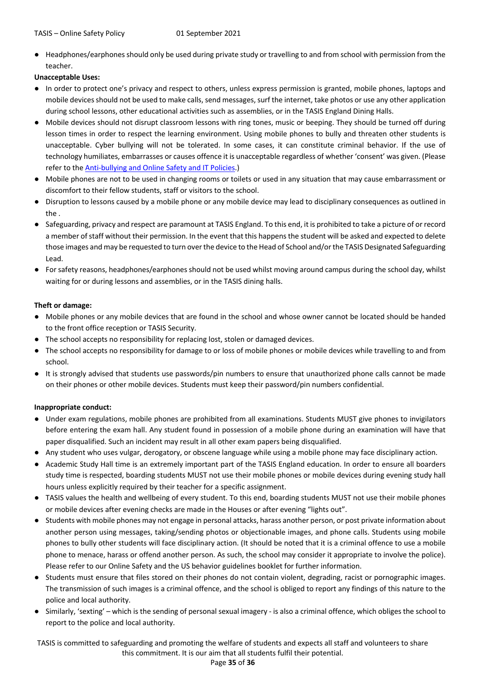● Headphones/earphones should only be used during private study or travelling to and from school with permission from the teacher.

**Unacceptable Uses:**

- In order to protect one's privacy and respect to others, unless express permission is granted, mobile phones, laptops and mobile devices should not be used to make calls, send messages, surf the internet, take photos or use any other application during school lessons, other educational activities such as assemblies, or in the TASIS England Dining Halls.
- Mobile devices should not disrupt classroom lessons with ring tones, music or beeping. They should be turned off during lesson times in order to respect the learning environment. Using mobile phones to bully and threaten other students is unacceptable. Cyber bullying will not be tolerated. In some cases, it can constitute criminal behavior. If the use of technology humiliates, embarrasses or causes offence it is unacceptable regardless of whether 'consent' was given. (Please refer to the Anti-bullying and Online Safety and IT Policies.)
- Mobile phones are not to be used in changing rooms or toilets or used in any situation that may cause embarrassment or discomfort to their fellow students, staff or visitors to the school.
- Disruption to lessons caused by a mobile phone or any mobile device may lead to disciplinary consequences as outlined in the .
- Safeguarding, privacy and respect are paramount at TASIS England. To this end, it is prohibited to take a picture of or record a member of staff without their permission. In the event that this happens the student will be asked and expected to delete those images and may be requested to turn over the device to the Head of School and/or the TASIS Designated Safeguarding Lead.
- For safety reasons, headphones/earphones should not be used whilst moving around campus during the school day, whilst waiting for or during lessons and assemblies, or in the TASIS dining halls.

#### **Theft or damage:**

- Mobile phones or any mobile devices that are found in the school and whose owner cannot be located should be handed to the front office reception or TASIS Security.
- The school accepts no responsibility for replacing lost, stolen or damaged devices.
- The school accepts no responsibility for damage to or loss of mobile phones or mobile devices while travelling to and from school.
- It is strongly advised that students use passwords/pin numbers to ensure that unauthorized phone calls cannot be made on their phones or other mobile devices. Students must keep their password/pin numbers confidential.

#### **Inappropriate conduct:**

- Under exam regulations, mobile phones are prohibited from all examinations. Students MUST give phones to invigilators before entering the exam hall. Any student found in possession of a mobile phone during an examination will have that paper disqualified. Such an incident may result in all other exam papers being disqualified.
- Any student who uses vulgar, derogatory, or obscene language while using a mobile phone may face disciplinary action.
- Academic Study Hall time is an extremely important part of the TASIS England education. In order to ensure all boarders study time is respected, boarding students MUST not use their mobile phones or mobile devices during evening study hall hours unless explicitly required by their teacher for a specific assignment.
- TASIS values the health and wellbeing of every student. To this end, boarding students MUST not use their mobile phones or mobile devices after evening checks are made in the Houses or after evening "lights out".
- Students with mobile phones may not engage in personal attacks, harass another person, or post private information about another person using messages, taking/sending photos or objectionable images, and phone calls. Students using mobile phones to bully other students will face disciplinary action. (It should be noted that it is a criminal offence to use a mobile phone to menace, harass or offend another person. As such, the school may consider it appropriate to involve the police). Please refer to our Online Safety and the US behavior guidelines booklet for further information.
- Students must ensure that files stored on their phones do not contain violent, degrading, racist or pornographic images. The transmission of such images is a criminal offence, and the school is obliged to report any findings of this nature to the police and local authority.
- Similarly, 'sexting' which is the sending of personal sexual imagery is also a criminal offence, which obliges the school to report to the police and local authority.